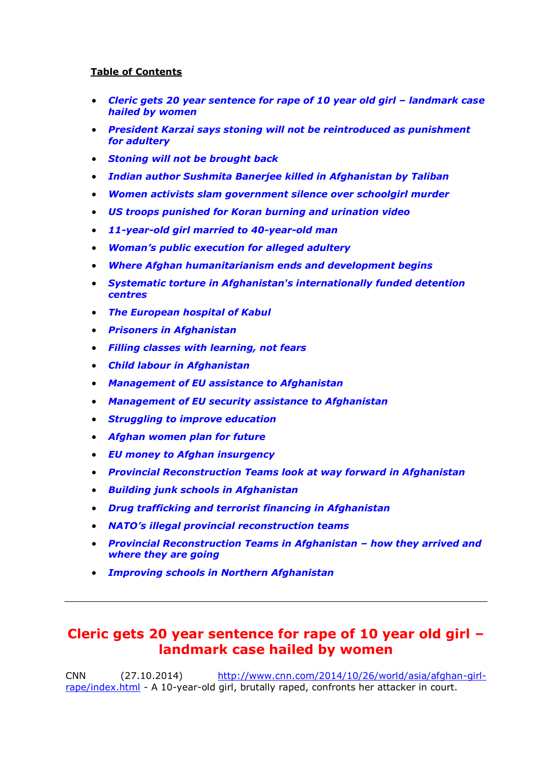### **Table of Contents**

- **•** [Cleric gets 20 year sentence for rape of 10 year old girl](#page-0-0)  landmark case *[hailed by women](#page-0-0)*
- *[President Karzai says stoning will not be reintroduced as punishment](#page-3-0)  [for adultery](#page-3-0)*
- *[Stoning will not be brought back](#page-3-1)*
- *[Indian author Sushmita Banerjee killed in Afghanistan by Taliban](#page-5-0)*
- *[Women activists slam government silence over schoolgirl murder](#page-6-0)*
- *[US troops punished for Koran burning and urination video](#page-7-0)*
- *[11-year-old girl married to 40-year-old man](#page-8-0)*
- *[Woman's public execution for alleged adultery](#page-9-0)*
- *[Where Afghan humanitarianism ends and development begins](#page-11-0)*
- *[Systematic torture in Afghanistan's internationally funded detention](#page-14-0)  [centres](#page-14-0)*
- *[The European hospital of Kabul](#page-15-0)*
- *[Prisoners in Afghanistan](#page-16-0)*
- *[Filling classes with learning, not fears](#page-17-0)*
- *[Child labour in Afghanistan](#page-20-0)*
- *[Management of EU assistance to Afghanistan](#page-20-1)*
- *[Management of EU security assistance to Afghanistan](#page-23-0)*
- *[Struggling to improve education](#page-24-0)*
- *[Afghan women plan for future](#page-26-0)*
- *[EU money to Afghan insurgency](#page-26-1)*
- *[Provincial Reconstruction Teams look at way forward in Afghanistan](#page-28-0)*
- *[Building junk schools in Afghanistan](#page-29-0)*
- *[Drug trafficking and terrorist financing in Afghanistan](#page-31-0)*
- *[NATO's illegal provincial reconstruction teams](#page-33-0)*
- *[Provincial Reconstruction Teams in Afghanistan](#page-34-0) – how they arrived and [where they are going](#page-34-0)*
- *[Improving schools in Northern Afghanistan](#page-37-0)*

# <span id="page-0-0"></span>**Cleric gets 20 year sentence for rape of 10 year old girl – landmark case hailed by women**

CNN (27.10.2014) [http://www.cnn.com/2014/10/26/world/asia/afghan-girl](http://www.cnn.com/2014/10/26/world/asia/afghan-girl-rape/index.html)[rape/index.html](http://www.cnn.com/2014/10/26/world/asia/afghan-girl-rape/index.html) - A 10-year-old girl, brutally raped, confronts her attacker in court.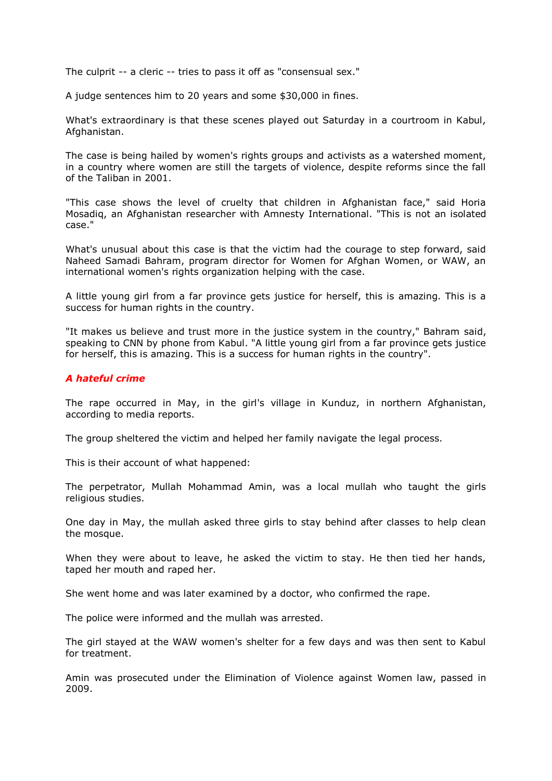The culprit -- a cleric -- tries to pass it off as "consensual sex."

A judge sentences him to 20 years and some \$30,000 in fines.

What's extraordinary is that these scenes played out Saturday in a courtroom in Kabul, Afghanistan.

The case is being hailed by women's rights groups and activists as a watershed moment, in a country where women are still the targets of violence, despite reforms since the fall of the Taliban in 2001.

"This case shows the level of cruelty that children in Afghanistan face," said Horia Mosadiq, an Afghanistan researcher with Amnesty International. "This is not an isolated case."

What's unusual about this case is that the victim had the courage to step forward, said Naheed Samadi Bahram, program director for Women for Afghan Women, or WAW, an international women's rights organization helping with the case.

A little young girl from a far province gets justice for herself, this is amazing. This is a success for human rights in the country.

"It makes us believe and trust more in the justice system in the country," Bahram said, speaking to CNN by phone from Kabul. "A little young girl from a far province gets justice for herself, this is amazing. This is a success for human rights in the country".

### *A hateful crime*

The rape occurred in May, in the girl's village in Kunduz, in northern Afghanistan, according to media reports.

The group sheltered the victim and helped her family navigate the legal process.

This is their account of what happened:

The perpetrator, Mullah Mohammad Amin, was a local mullah who taught the girls religious studies.

One day in May, the mullah asked three girls to stay behind after classes to help clean the mosque.

When they were about to leave, he asked the victim to stay. He then tied her hands, taped her mouth and raped her.

She went home and was later examined by a doctor, who confirmed the rape.

The police were informed and the mullah was arrested.

The girl stayed at the WAW women's shelter for a few days and was then sent to Kabul for treatment.

Amin was prosecuted under the Elimination of Violence against Women law, passed in 2009.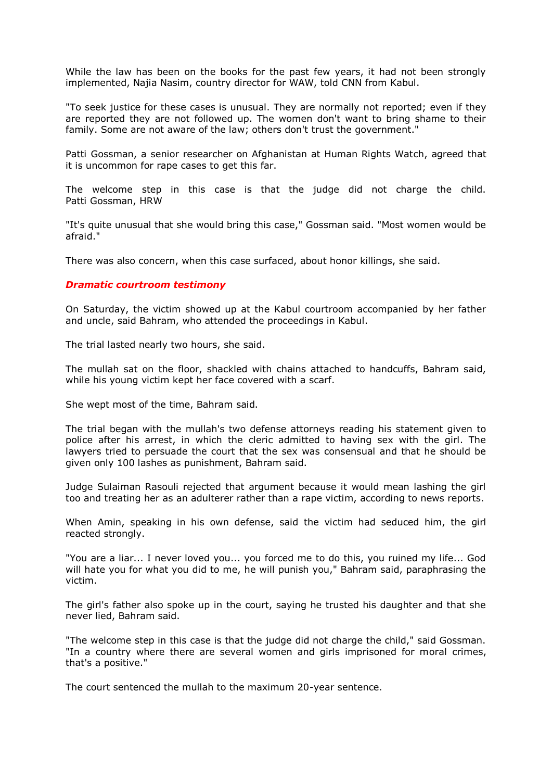While the law has been on the books for the past few years, it had not been strongly implemented, Najia Nasim, country director for WAW, told CNN from Kabul.

"To seek justice for these cases is unusual. They are normally not reported; even if they are reported they are not followed up. The women don't want to bring shame to their family. Some are not aware of the law; others don't trust the government."

Patti Gossman, a senior researcher on Afghanistan at Human Rights Watch, agreed that it is uncommon for rape cases to get this far.

The welcome step in this case is that the judge did not charge the child. Patti Gossman, HRW

"It's quite unusual that she would bring this case," Gossman said. "Most women would be afraid."

There was also concern, when this case surfaced, about honor killings, she said.

#### *Dramatic courtroom testimony*

On Saturday, the victim showed up at the Kabul courtroom accompanied by her father and uncle, said Bahram, who attended the proceedings in Kabul.

The trial lasted nearly two hours, she said.

The mullah sat on the floor, shackled with chains attached to handcuffs, Bahram said, while his young victim kept her face covered with a scarf.

She wept most of the time, Bahram said.

The trial began with the mullah's two defense attorneys reading his statement given to police after his arrest, in which the cleric admitted to having sex with the girl. The lawyers tried to persuade the court that the sex was consensual and that he should be given only 100 lashes as punishment, Bahram said.

Judge Sulaiman Rasouli rejected that argument because it would mean lashing the girl too and treating her as an adulterer rather than a rape victim, according to news reports.

When Amin, speaking in his own defense, said the victim had seduced him, the girl reacted strongly.

"You are a liar... I never loved you... you forced me to do this, you ruined my life... God will hate you for what you did to me, he will punish you," Bahram said, paraphrasing the victim.

The girl's father also spoke up in the court, saying he trusted his daughter and that she never lied, Bahram said.

"The welcome step in this case is that the judge did not charge the child," said Gossman. "In a country where there are several women and girls imprisoned for moral crimes, that's a positive."

The court sentenced the mullah to the maximum 20-year sentence.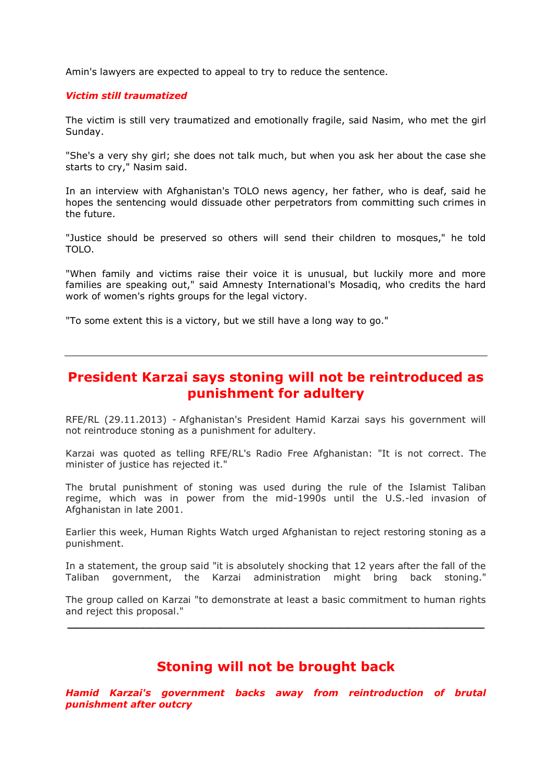Amin's lawyers are expected to appeal to try to reduce the sentence.

#### *Victim still traumatized*

The victim is still very traumatized and emotionally fragile, said Nasim, who met the girl Sunday.

"She's a very shy girl; she does not talk much, but when you ask her about the case she starts to cry," Nasim said.

In an interview with Afghanistan's TOLO news agency, her father, who is deaf, said he hopes the sentencing would dissuade other perpetrators from committing such crimes in the future.

"Justice should be preserved so others will send their children to mosques," he told TOLO.

"When family and victims raise their voice it is unusual, but luckily more and more families are speaking out," said Amnesty International's Mosadiq, who credits the hard work of women's rights groups for the legal victory.

"To some extent this is a victory, but we still have a long way to go."

## <span id="page-3-0"></span>**President Karzai says stoning will not be reintroduced as punishment for adultery**

RFE/RL (29.11.2013) - Afghanistan's President Hamid Karzai says his government will not reintroduce stoning as a punishment for adultery.

Karzai was quoted as telling RFE/RL's Radio Free Afghanistan: "It is not correct. The minister of justice has rejected it."

The brutal punishment of stoning was used during the rule of the Islamist Taliban regime, which was in power from the mid-1990s until the U.S.-led invasion of Afghanistan in late 2001.

Earlier this week, Human Rights Watch urged Afghanistan to reject restoring stoning as a punishment.

In a statement, the group said "it is absolutely shocking that 12 years after the fall of the Taliban government, the Karzai administration might bring back stoning."

The group called on Karzai "to demonstrate at least a basic commitment to human rights and reject this proposal." **\_\_\_\_\_\_\_\_\_\_\_\_\_\_\_\_\_\_\_\_\_\_\_\_\_\_\_\_\_\_\_\_\_\_\_\_\_\_\_\_\_\_\_\_\_\_\_\_\_\_\_\_\_\_\_**

### **Stoning will not be brought back**

<span id="page-3-1"></span>*Hamid Karzai's government backs away from reintroduction of brutal punishment after outcry*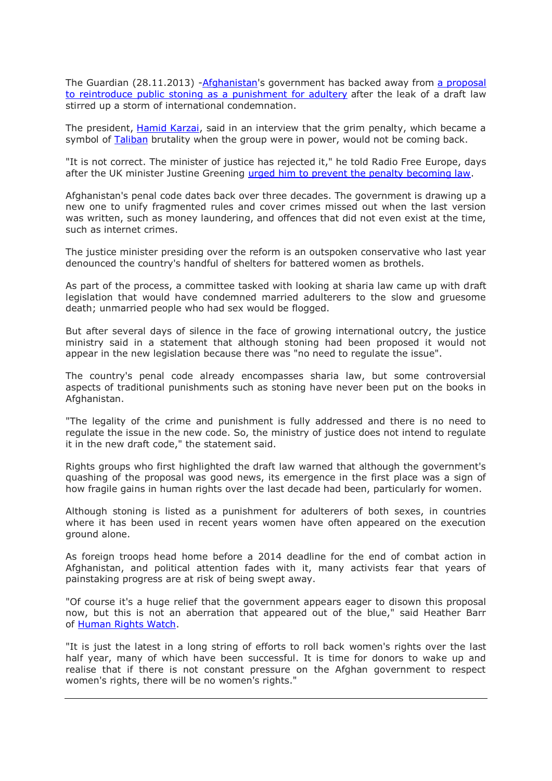The Guardian (28.11.2013) [-Afghanistan'](http://www.theguardian.com/world/afghanistan)s government has backed away from [a proposal](http://www.theguardian.com/world/2013/nov/25/public-stoning-womens-rights-afghanistan-government-adultery)  [to reintroduce public stoning as a punishment for adultery](http://www.theguardian.com/world/2013/nov/25/public-stoning-womens-rights-afghanistan-government-adultery) after the leak of a draft law stirred up a storm of international condemnation.

The president, [Hamid Karzai,](http://www.theguardian.com/world/hamid-karzai) said in an interview that the grim penalty, which became a symbol of [Taliban](http://www.theguardian.com/world/taliban) brutality when the group were in power, would not be coming back.

"It is not correct. The minister of justice has rejected it," he told Radio Free Europe, days after the UK minister Justine Greening [urged him to prevent the penalty becoming law.](http://www.theguardian.com/world/2013/nov/26/minister-afghanistan-president-proposal-stoning-karzai)

Afghanistan's penal code dates back over three decades. The government is drawing up a new one to unify fragmented rules and cover crimes missed out when the last version was written, such as money laundering, and offences that did not even exist at the time, such as internet crimes.

The justice minister presiding over the reform is an outspoken conservative who last year denounced the country's handful of shelters for battered women as brothels.

As part of the process, a committee tasked with looking at sharia law came up with draft legislation that would have condemned married adulterers to the slow and gruesome death; unmarried people who had sex would be flogged.

But after several days of silence in the face of growing international outcry, the justice ministry said in a statement that although stoning had been proposed it would not appear in the new legislation because there was "no need to regulate the issue".

The country's penal code already encompasses sharia law, but some controversial aspects of traditional punishments such as stoning have never been put on the books in Afghanistan.

"The legality of the crime and punishment is fully addressed and there is no need to regulate the issue in the new code. So, the ministry of justice does not intend to regulate it in the new draft code," the statement said.

Rights groups who first highlighted the draft law warned that although the government's quashing of the proposal was good news, its emergence in the first place was a sign of how fragile gains in human rights over the last decade had been, particularly for women.

Although stoning is listed as a punishment for adulterers of both sexes, in countries where it has been used in recent years women have often appeared on the execution ground alone.

As foreign troops head home before a 2014 deadline for the end of combat action in Afghanistan, and political attention fades with it, many activists fear that years of painstaking progress are at risk of being swept away.

"Of course it's a huge relief that the government appears eager to disown this proposal now, but this is not an aberration that appeared out of the blue," said Heather Barr of [Human Rights Watch.](http://www.hrw.org/)

"It is just the latest in a long string of efforts to roll back women's rights over the last half year, many of which have been successful. It is time for donors to wake up and realise that if there is not constant pressure on the Afghan government to respect women's rights, there will be no women's rights."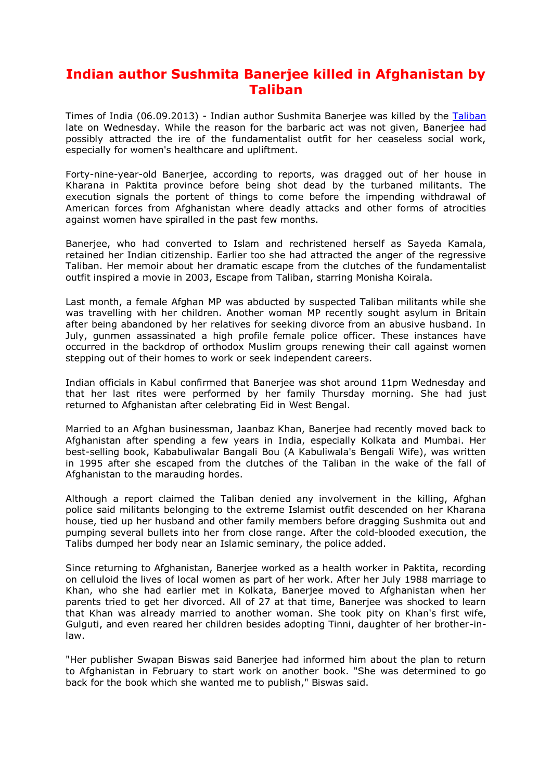## <span id="page-5-0"></span>**Indian author Sushmita Banerjee killed in Afghanistan by Taliban**

Times of India (06.09.2013) - Indian author Sushmita Banerjee was killed by the [Taliban](http://timesofindia.indiatimes.com/topic/Taliban) late on Wednesday. While the reason for the barbaric act was not given, Banerjee had possibly attracted the ire of the fundamentalist outfit for her ceaseless social work, especially for women's healthcare and upliftment.

Forty-nine-year-old Banerjee, according to reports, was dragged out of her house in Kharana in Paktita province before being shot dead by the turbaned militants. The execution signals the portent of things to come before the impending withdrawal of American forces from Afghanistan where deadly attacks and other forms of atrocities against women have spiralled in the past few months.

Banerjee, who had converted to Islam and rechristened herself as Sayeda Kamala, retained her Indian citizenship. Earlier too she had attracted the anger of the regressive Taliban. Her memoir about her dramatic escape from the clutches of the fundamentalist outfit inspired a movie in 2003, Escape from Taliban, starring Monisha Koirala.

Last month, a female Afghan MP was abducted by suspected Taliban militants while she was travelling with her children. Another woman MP recently sought asylum in Britain after being abandoned by her relatives for seeking divorce from an abusive husband. In July, gunmen assassinated a high profile female police officer. These instances have occurred in the backdrop of orthodox Muslim groups renewing their call against women stepping out of their homes to work or seek independent careers.

Indian officials in Kabul confirmed that Banerjee was shot around 11pm Wednesday and that her last rites were performed by her family Thursday morning. She had just returned to Afghanistan after celebrating Eid in West Bengal.

Married to an Afghan businessman, Jaanbaz Khan, Banerjee had recently moved back to Afghanistan after spending a few years in India, especially Kolkata and Mumbai. Her best-selling book, Kababuliwalar Bangali Bou (A Kabuliwala's Bengali Wife), was written in 1995 after she escaped from the clutches of the Taliban in the wake of the fall of Afghanistan to the marauding hordes.

Although a report claimed the Taliban denied any involvement in the killing, Afghan police said militants belonging to the extreme Islamist outfit descended on her Kharana house, tied up her husband and other family members before dragging Sushmita out and pumping several bullets into her from close range. After the cold-blooded execution, the Talibs dumped her body near an Islamic seminary, the police added.

Since returning to Afghanistan, Banerjee worked as a health worker in Paktita, recording on celluloid the lives of local women as part of her work. After her July 1988 marriage to Khan, who she had earlier met in Kolkata, Banerjee moved to Afghanistan when her parents tried to get her divorced. All of 27 at that time, Banerjee was shocked to learn that Khan was already married to another woman. She took pity on Khan's first wife, Gulguti, and even reared her children besides adopting Tinni, daughter of her brother-inlaw.

"Her publisher Swapan Biswas said Banerjee had informed him about the plan to return to Afghanistan in February to start work on another book. "She was determined to go back for the book which she wanted me to publish," Biswas said.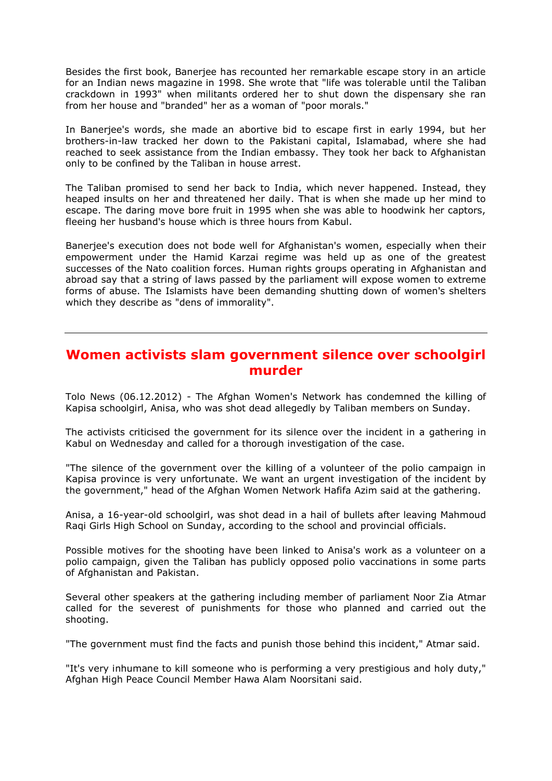Besides the first book, Banerjee has recounted her remarkable escape story in an article for an Indian news magazine in 1998. She wrote that "life was tolerable until the Taliban crackdown in 1993" when militants ordered her to shut down the dispensary she ran from her house and "branded" her as a woman of "poor morals."

In Banerjee's words, she made an abortive bid to escape first in early 1994, but her brothers-in-law tracked her down to the Pakistani capital, Islamabad, where she had reached to seek assistance from the Indian embassy. They took her back to Afghanistan only to be confined by the Taliban in house arrest.

The Taliban promised to send her back to India, which never happened. Instead, they heaped insults on her and threatened her daily. That is when she made up her mind to escape. The daring move bore fruit in 1995 when she was able to hoodwink her captors, fleeing her husband's house which is three hours from Kabul.

Banerjee's execution does not bode well for Afghanistan's women, especially when their empowerment under the Hamid Karzai regime was held up as one of the greatest successes of the Nato coalition forces. Human rights groups operating in Afghanistan and abroad say that a string of laws passed by the parliament will expose women to extreme forms of abuse. The Islamists have been demanding shutting down of women's shelters which they describe as "dens of immorality".

## <span id="page-6-0"></span>**Women activists slam government silence over schoolgirl murder**

Tolo News (06.12.2012) - The Afghan Women's Network has condemned the killing of Kapisa schoolgirl, Anisa, who was shot dead allegedly by Taliban members on Sunday.

The activists criticised the government for its silence over the incident in a gathering in Kabul on Wednesday and called for a thorough investigation of the case.

"The silence of the government over the killing of a volunteer of the polio campaign in Kapisa province is very unfortunate. We want an urgent investigation of the incident by the government," head of the Afghan Women Network Hafifa Azim said at the gathering.

Anisa, a 16-year-old schoolgirl, was shot dead in a hail of bullets after leaving Mahmoud Raqi Girls High School on Sunday, according to the school and provincial officials.

Possible motives for the shooting have been linked to Anisa's work as a volunteer on a polio campaign, given the Taliban has publicly opposed polio vaccinations in some parts of Afghanistan and Pakistan.

Several other speakers at the gathering including member of parliament Noor Zia Atmar called for the severest of punishments for those who planned and carried out the shooting.

"The government must find the facts and punish those behind this incident," Atmar said.

"It's very inhumane to kill someone who is performing a very prestigious and holy duty," Afghan High Peace Council Member Hawa Alam Noorsitani said.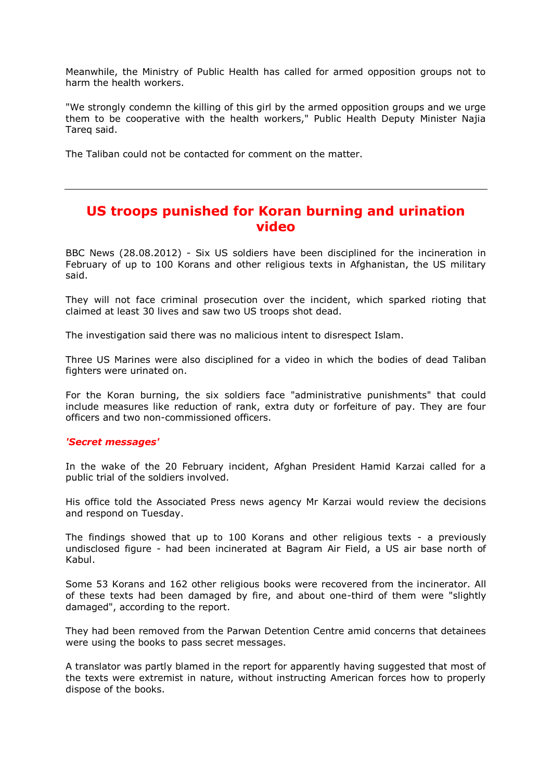Meanwhile, the Ministry of Public Health has called for armed opposition groups not to harm the health workers.

"We strongly condemn the killing of this girl by the armed opposition groups and we urge them to be cooperative with the health workers," Public Health Deputy Minister Najia Tareq said.

The Taliban could not be contacted for comment on the matter.

## <span id="page-7-0"></span>**US troops punished for Koran burning and urination video**

BBC News (28.08.2012) - Six US soldiers have been disciplined for the incineration in February of up to 100 Korans and other religious texts in Afghanistan, the US military said.

They will not face criminal prosecution over the incident, which sparked rioting that claimed at least 30 lives and saw two US troops shot dead.

The investigation said there was no malicious intent to disrespect Islam.

Three US Marines were also disciplined for a video in which the bodies of dead Taliban fighters were urinated on.

For the Koran burning, the six soldiers face "administrative punishments" that could include measures like reduction of rank, extra duty or forfeiture of pay. They are four officers and two non-commissioned officers.

### *'Secret messages'*

In the wake of the 20 February incident, Afghan President Hamid Karzai called for a public trial of the soldiers involved.

His office told the Associated Press news agency Mr Karzai would review the decisions and respond on Tuesday.

The findings showed that up to 100 Korans and other religious texts - a previously undisclosed figure - had been incinerated at Bagram Air Field, a US air base north of Kabul.

Some 53 Korans and 162 other religious books were recovered from the incinerator. All of these texts had been damaged by fire, and about one-third of them were "slightly damaged", according to the report.

They had been removed from the Parwan Detention Centre amid concerns that detainees were using the books to pass secret messages.

A translator was partly blamed in the report for apparently having suggested that most of the texts were extremist in nature, without instructing American forces how to properly dispose of the books.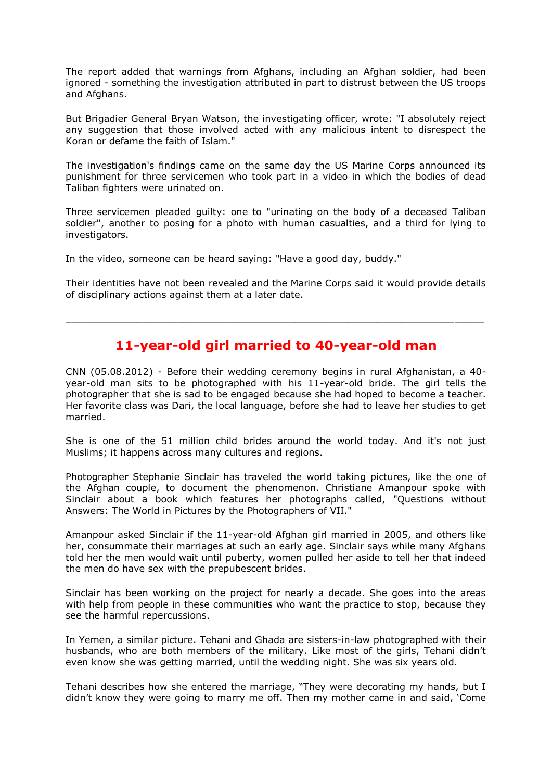The report added that warnings from Afghans, including an Afghan soldier, had been ignored - something the investigation attributed in part to distrust between the US troops and Afghans.

But Brigadier General Bryan Watson, the investigating officer, wrote: "I absolutely reject any suggestion that those involved acted with any malicious intent to disrespect the Koran or defame the faith of Islam."

The investigation's findings came on the same day the US Marine Corps announced its punishment for three servicemen who took part in a video in which the bodies of dead Taliban fighters were urinated on.

Three servicemen pleaded guilty: one to "urinating on the body of a deceased Taliban soldier", another to posing for a photo with human casualties, and a third for lying to investigators.

In the video, someone can be heard saying: "Have a good day, buddy."

Their identities have not been revealed and the Marine Corps said it would provide details of disciplinary actions against them at a later date.

## **[11-year-old girl married to 40-year-old man](http://amanpour.blogs.cnn.com/2012/08/05/11-year-old-girl-married-to-40-year-old-man/)**

<span id="page-8-0"></span> $\_$  ,  $\_$  ,  $\_$  ,  $\_$  ,  $\_$  ,  $\_$  ,  $\_$  ,  $\_$  ,  $\_$  ,  $\_$  ,  $\_$  ,  $\_$  ,  $\_$  ,  $\_$  ,  $\_$  ,  $\_$  ,  $\_$  ,  $\_$  ,  $\_$  ,  $\_$  ,  $\_$  ,  $\_$  ,  $\_$  ,  $\_$  ,  $\_$  ,  $\_$  ,  $\_$  ,  $\_$  ,  $\_$  ,  $\_$  ,  $\_$  ,  $\_$  ,  $\_$  ,  $\_$  ,  $\_$  ,  $\_$  ,  $\_$  ,

CNN (05.08.2012) - Before their wedding ceremony begins in rural Afghanistan, a 40 year-old man sits to be photographed with his 11-year-old bride. The girl tells the photographer that she is sad to be engaged because she had hoped to become a teacher. Her favorite class was Dari, the local language, before she had to leave her studies to get married.

She is one of the 51 million child brides around the world today. And it's not just Muslims; it happens across many cultures and regions.

Photographer Stephanie Sinclair has traveled the world taking pictures, like the one of the Afghan couple, to document the phenomenon. Christiane Amanpour spoke with Sinclair about a book which features her photographs called, "Questions without Answers: The World in Pictures by the Photographers of VII."

Amanpour asked Sinclair if the 11-year-old Afghan girl married in 2005, and others like her, consummate their marriages at such an early age. Sinclair says while many Afghans told her the men would wait until puberty, women pulled her aside to tell her that indeed the men do have sex with the prepubescent brides.

Sinclair has been working on the project for nearly a decade. She goes into the areas with help from people in these communities who want the practice to stop, because they see the harmful repercussions.

In Yemen, a similar picture. Tehani and Ghada are sisters-in-law photographed with their husbands, who are both members of the military. Like most of the girls, Tehani didn't even know she was getting married, until the wedding night. She was six years old.

Tehani describes how she entered the marriage, "They were decorating my hands, but I didn't know they were going to marry me off. Then my mother came in and said, 'Come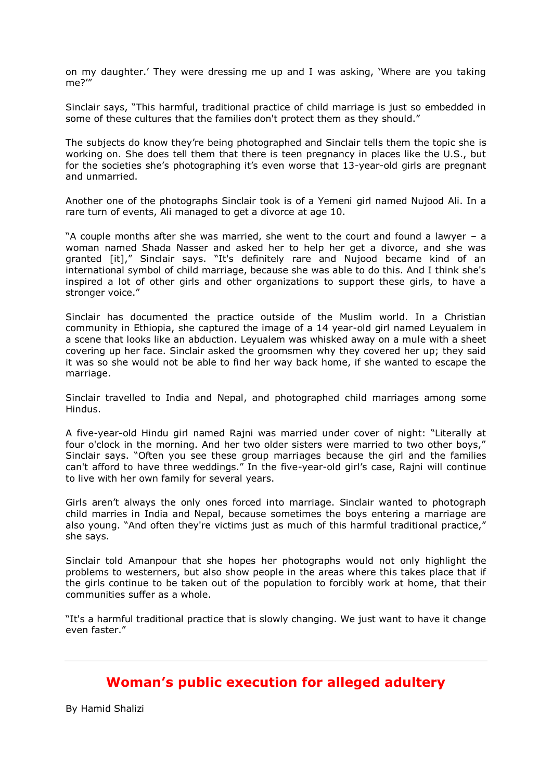on my daughter.' They were dressing me up and I was asking, 'Where are you taking me?'"

Sinclair says, "This harmful, traditional practice of child marriage is just so embedded in some of these cultures that the families don't protect them as they should."

The subjects do know they're being photographed and Sinclair tells them the topic she is working on. She does tell them that there is teen pregnancy in places like the U.S., but for the societies she's photographing it's even worse that 13-year-old girls are pregnant and unmarried.

Another one of the photographs Sinclair took is of a Yemeni girl named Nujood Ali. In a rare turn of events, Ali managed to get a divorce at age 10.

"A couple months after she was married, she went to the court and found a lawyer – a woman named Shada Nasser and asked her to help her get a divorce, and she was granted [it]," Sinclair says. "It's definitely rare and Nujood became kind of an international symbol of child marriage, because she was able to do this. And I think she's inspired a lot of other girls and other organizations to support these girls, to have a stronger voice."

Sinclair has documented the practice outside of the Muslim world. In a Christian community in Ethiopia, she captured the image of a 14 year-old girl named Leyualem in a scene that looks like an abduction. Leyualem was whisked away on a mule with a sheet covering up her face. Sinclair asked the groomsmen why they covered her up; they said it was so she would not be able to find her way back home, if she wanted to escape the marriage.

Sinclair travelled to India and Nepal, and photographed child marriages among some Hindus.

A five-year-old Hindu girl named Rajni was married under cover of night: "Literally at four o'clock in the morning. And her two older sisters were married to two other boys," Sinclair says. "Often you see these group marriages because the girl and the families can't afford to have three weddings." In the five-year-old girl's case, Rajni will continue to live with her own family for several years.

Girls aren't always the only ones forced into marriage. Sinclair wanted to photograph child marries in India and Nepal, because sometimes the boys entering a marriage are also young. "And often they're victims just as much of this harmful traditional practice," she says.

Sinclair told Amanpour that she hopes her photographs would not only highlight the problems to westerners, but also show people in the areas where this takes place that if the girls continue to be taken out of the population to forcibly work at home, that their communities suffer as a whole.

"It's a harmful traditional practice that is slowly changing. We just want to have it change even faster."

# **Woman's public execution for alleged adultery**

<span id="page-9-0"></span>By [Hamid Shalizi](http://blogs.reuters.com/search/journalist.php?edition=us&n=hamid.shalizi&)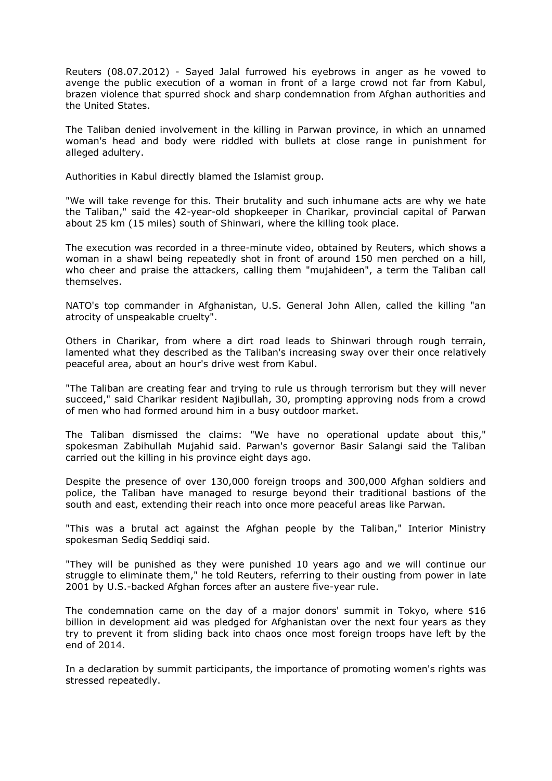Reuters (08.07.2012) - Sayed Jalal furrowed his eyebrows in anger as he vowed to avenge the public execution of a woman in front of a large crowd not far from Kabul, brazen violence that spurred shock and sharp condemnation from Afghan authorities and the United States.

The Taliban denied involvement in the killing in Parwan province, in which an unnamed woman's head and body were riddled with bullets at close range in punishment for alleged adultery.

Authorities in Kabul directly blamed the Islamist group.

"We will take revenge for this. Their brutality and such inhumane acts are why we hate the Taliban," said the 42-year-old shopkeeper in Charikar, provincial capital of Parwan about 25 km (15 miles) south of Shinwari, where the killing took place.

The execution was recorded in a three-minute video, obtained by Reuters, which shows a woman in a shawl being repeatedly shot in front of around 150 men perched on a hill, who cheer and praise the attackers, calling them "mujahideen", a term the Taliban call themselves.

NATO's top commander in Afghanistan, U.S. General John Allen, called the killing "an atrocity of unspeakable cruelty".

Others in Charikar, from where a dirt road leads to Shinwari through rough terrain, lamented what they described as the Taliban's increasing sway over their once relatively peaceful area, about an hour's drive west from Kabul.

"The Taliban are creating fear and trying to rule us through terrorism but they will never succeed," said Charikar resident Najibullah, 30, prompting approving nods from a crowd of men who had formed around him in a busy outdoor market.

The Taliban dismissed the claims: "We have no operational update about this," spokesman Zabihullah Mujahid said. Parwan's governor Basir Salangi said the Taliban carried out the killing in his province eight days ago.

Despite the presence of over 130,000 foreign troops and 300,000 Afghan soldiers and police, the Taliban have managed to resurge beyond their traditional bastions of the south and east, extending their reach into once more peaceful areas like Parwan.

"This was a brutal act against the Afghan people by the Taliban," Interior Ministry spokesman Sediq Seddiqi said.

"They will be punished as they were punished 10 years ago and we will continue our struggle to eliminate them," he told Reuters, referring to their ousting from power in late 2001 by U.S.-backed Afghan forces after an austere five-year rule.

The condemnation came on the day of a major donors' summit in Tokyo, where \$16 billion in development aid was pledged for Afghanistan over the next four years as they try to prevent it from sliding back into chaos once most foreign troops have left by the end of 2014.

In a declaration by summit participants, the importance of promoting women's rights was stressed repeatedly.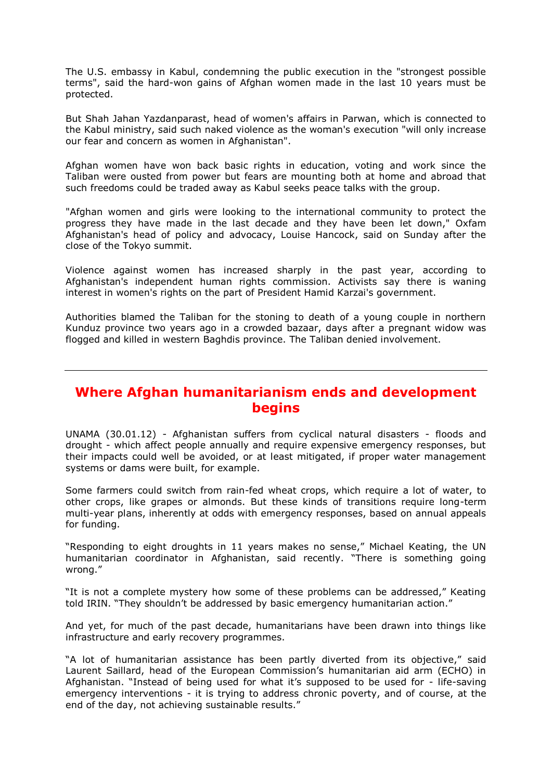The U.S. embassy in Kabul, condemning the public execution in the "strongest possible terms", said the hard-won gains of Afghan women made in the last 10 years must be protected.

But Shah Jahan Yazdanparast, head of women's affairs in Parwan, which is connected to the Kabul ministry, said such naked violence as the woman's execution "will only increase our fear and concern as women in Afghanistan".

Afghan women have won back basic rights in education, voting and work since the Taliban were ousted from power but fears are mounting both at home and abroad that such freedoms could be traded away as Kabul seeks peace talks with the group.

"Afghan women and girls were looking to the international community to protect the progress they have made in the last decade and they have been let down," Oxfam Afghanistan's head of policy and advocacy, Louise Hancock, said on Sunday after the close of the Tokyo summit.

Violence against women has increased sharply in the past year, according to Afghanistan's independent human rights commission. Activists say there is waning interest in women's rights on the part of President Hamid Karzai's government.

Authorities blamed the Taliban for the stoning to death of a young couple in northern Kunduz province two years ago in a crowded bazaar, days after a pregnant widow was flogged and killed in western Baghdis province. The Taliban denied involvement.

## <span id="page-11-0"></span>**Where Afghan humanitarianism ends and development begins**

UNAMA (30.01.12) - Afghanistan suffers from cyclical natural disasters - floods and drought - which affect people annually and require expensive emergency responses, but their impacts could well be avoided, or at least mitigated, if proper water management systems or dams were built, for example.

Some farmers could switch from rain-fed wheat crops, which require a lot of water, to other crops, like grapes or almonds. But these kinds of transitions require long-term multi-year plans, inherently at odds with emergency responses, based on annual appeals for funding.

"Responding to eight droughts in 11 years makes no sense," Michael Keating, the UN humanitarian coordinator in Afghanistan, said recently. "There is something going wrong."

"It is not a complete mystery how some of these problems can be addressed," Keating told IRIN. "They shouldn't be addressed by basic emergency humanitarian action."

And yet, for much of the past decade, humanitarians have been drawn into things like infrastructure and early recovery programmes.

"A lot of humanitarian assistance has been partly diverted from its objective," said Laurent Saillard, head of the European Commission's humanitarian aid arm (ECHO) in Afghanistan. "Instead of being used for what it's supposed to be used for - life-saving emergency interventions - it is trying to address chronic poverty, and of course, at the end of the day, not achieving sustainable results."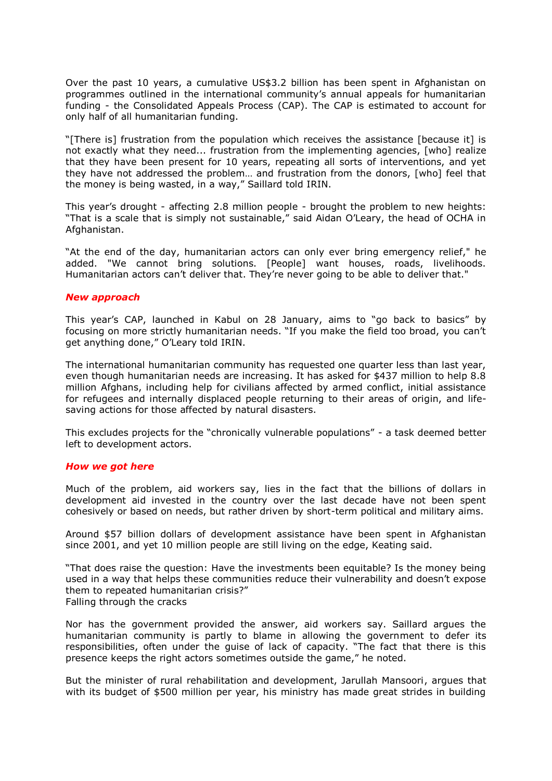Over the past 10 years, a cumulative US\$3.2 billion has been spent in Afghanistan on programmes outlined in the international community's annual appeals for humanitarian funding - the Consolidated Appeals Process (CAP). The CAP is estimated to account for only half of all humanitarian funding.

"[There is] frustration from the population which receives the assistance [because it] is not exactly what they need... frustration from the implementing agencies, [who] realize that they have been present for 10 years, repeating all sorts of interventions, and yet they have not addressed the problem… and frustration from the donors, [who] feel that the money is being wasted, in a way," Saillard told IRIN.

This year's drought - affecting 2.8 million people - brought the problem to new heights: "That is a scale that is simply not sustainable," said Aidan O'Leary, the head of OCHA in Afghanistan.

"At the end of the day, humanitarian actors can only ever bring emergency relief," he added. "We cannot bring solutions. [People] want houses, roads, livelihoods. Humanitarian actors can't deliver that. They're never going to be able to deliver that."

#### *New approach*

This year's CAP, launched in Kabul on 28 January, aims to "go back to basics" by focusing on more strictly humanitarian needs. "If you make the field too broad, you can't get anything done," O'Leary told IRIN.

The international humanitarian community has requested one quarter less than last year, even though humanitarian needs are increasing. It has asked for \$437 million to help 8.8 million Afghans, including help for civilians affected by armed conflict, initial assistance for refugees and internally displaced people returning to their areas of origin, and lifesaving actions for those affected by natural disasters.

This excludes projects for the "chronically vulnerable populations" - a task deemed better left to development actors.

#### *How we got here*

Much of the problem, aid workers say, lies in the fact that the billions of dollars in development aid invested in the country over the last decade have not been spent cohesively or based on needs, but rather driven by short-term political and military aims.

Around \$57 billion dollars of development assistance have been spent in Afghanistan since 2001, and yet 10 million people are still living on the edge, Keating said.

"That does raise the question: Have the investments been equitable? Is the money being used in a way that helps these communities reduce their vulnerability and doesn't expose them to repeated humanitarian crisis?" Falling through the cracks

Nor has the government provided the answer, aid workers say. Saillard argues the humanitarian community is partly to blame in allowing the government to defer its responsibilities, often under the guise of lack of capacity. "The fact that there is this presence keeps the right actors sometimes outside the game," he noted.

But the minister of rural rehabilitation and development, Jarullah Mansoori, argues that with its budget of \$500 million per year, his ministry has made great strides in building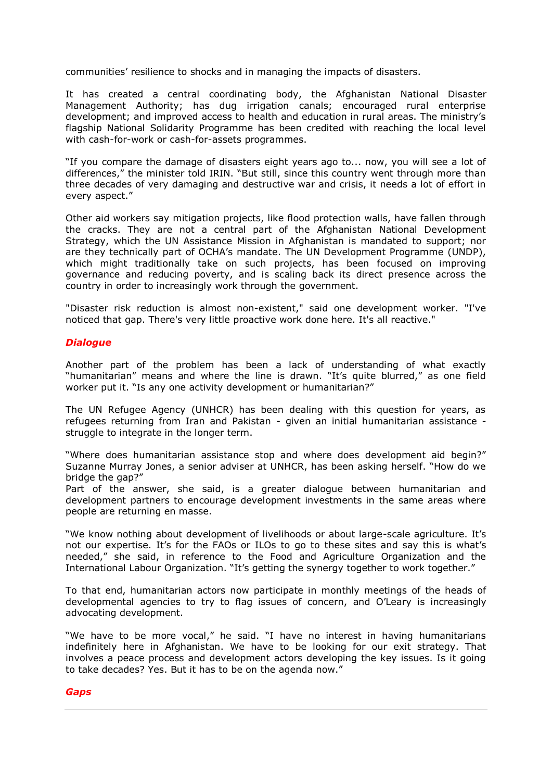communities' resilience to shocks and in managing the impacts of disasters.

It has created a central coordinating body, the Afghanistan National Disaster Management Authority; has dug irrigation canals; encouraged rural enterprise development; and improved access to health and education in rural areas. The ministry's flagship National Solidarity Programme has been credited with reaching the local level with cash-for-work or cash-for-assets programmes.

"If you compare the damage of disasters eight years ago to... now, you will see a lot of differences," the minister told IRIN. "But still, since this country went through more than three decades of very damaging and destructive war and crisis, it needs a lot of effort in every aspect."

Other aid workers say mitigation projects, like flood protection walls, have fallen through the cracks. They are not a central part of the Afghanistan National Development Strategy, which the UN Assistance Mission in Afghanistan is mandated to support; nor are they technically part of OCHA's mandate. The UN Development Programme (UNDP), which might traditionally take on such projects, has been focused on improving governance and reducing poverty, and is scaling back its direct presence across the country in order to increasingly work through the government.

"Disaster risk reduction is almost non-existent," said one development worker. "I've noticed that gap. There's very little proactive work done here. It's all reactive."

### *Dialogue*

Another part of the problem has been a lack of understanding of what exactly "humanitarian" means and where the line is drawn. "It's quite blurred," as one field worker put it. "Is any one activity development or humanitarian?"

The UN Refugee Agency (UNHCR) has been dealing with this question for years, as refugees returning from Iran and Pakistan - given an initial humanitarian assistance struggle to integrate in the longer term.

"Where does humanitarian assistance stop and where does development aid begin?" Suzanne Murray Jones, a senior adviser at UNHCR, has been asking herself. "How do we bridge the gap?"

Part of the answer, she said, is a greater dialogue between humanitarian and development partners to encourage development investments in the same areas where people are returning en masse.

"We know nothing about development of livelihoods or about large-scale agriculture. It's not our expertise. It's for the FAOs or ILOs to go to these sites and say this is what's needed," she said, in reference to the Food and Agriculture Organization and the International Labour Organization. "It's getting the synergy together to work together."

To that end, humanitarian actors now participate in monthly meetings of the heads of developmental agencies to try to flag issues of concern, and O'Leary is increasingly advocating development.

"We have to be more vocal," he said. "I have no interest in having humanitarians indefinitely here in Afghanistan. We have to be looking for our exit strategy. That involves a peace process and development actors developing the key issues. Is it going to take decades? Yes. But it has to be on the agenda now."

### *Gaps*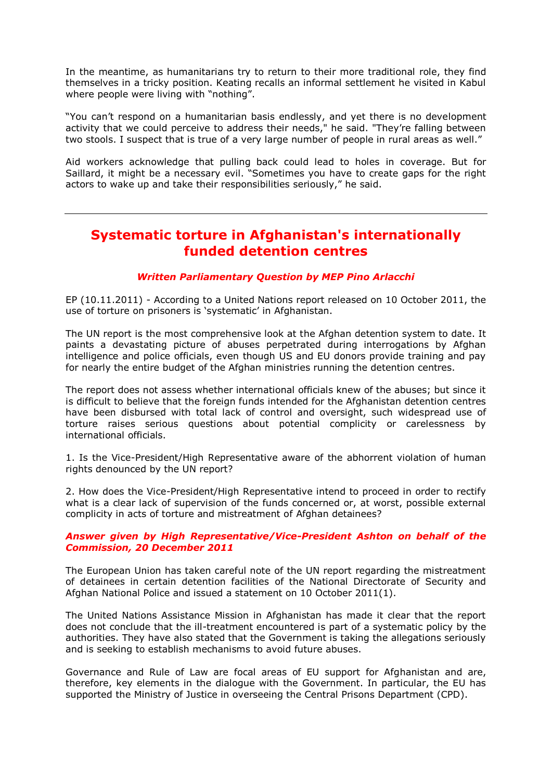In the meantime, as humanitarians try to return to their more traditional role, they find themselves in a tricky position. Keating recalls an informal settlement he visited in Kabul where people were living with "nothing".

"You can't respond on a humanitarian basis endlessly, and yet there is no development activity that we could perceive to address their needs," he said. "They're falling between two stools. I suspect that is true of a very large number of people in rural areas as well."

Aid workers acknowledge that pulling back could lead to holes in coverage. But for Saillard, it might be a necessary evil. "Sometimes you have to create gaps for the right actors to wake up and take their responsibilities seriously," he said.

## <span id="page-14-0"></span>**Systematic torture in Afghanistan's internationally funded detention centres**

#### *Written Parliamentary Question by MEP Pino Arlacchi*

EP (10.11.2011) - According to a United Nations report released on 10 October 2011, the use of torture on prisoners is 'systematic' in Afghanistan.

The UN report is the most comprehensive look at the Afghan detention system to date. It paints a devastating picture of abuses perpetrated during interrogations by Afghan intelligence and police officials, even though US and EU donors provide training and pay for nearly the entire budget of the Afghan ministries running the detention centres.

The report does not assess whether international officials knew of the abuses; but since it is difficult to believe that the foreign funds intended for the Afghanistan detention centres have been disbursed with total lack of control and oversight, such widespread use of torture raises serious questions about potential complicity or carelessness by international officials.

1. Is the Vice-President/High Representative aware of the abhorrent violation of human rights denounced by the UN report?

2. How does the Vice-President/High Representative intend to proceed in order to rectify what is a clear lack of supervision of the funds concerned or, at worst, possible external complicity in acts of torture and mistreatment of Afghan detainees?

### *Answer given by High Representative/Vice-President Ashton on behalf of the Commission, 20 December 2011*

The European Union has taken careful note of the UN report regarding the mistreatment of detainees in certain detention facilities of the National Directorate of Security and Afghan National Police and issued a statement on 10 October 2011(1).

The United Nations Assistance Mission in Afghanistan has made it clear that the report does not conclude that the ill-treatment encountered is part of a systematic policy by the authorities. They have also stated that the Government is taking the allegations seriously and is seeking to establish mechanisms to avoid future abuses.

Governance and Rule of Law are focal areas of EU support for Afghanistan and are, therefore, key elements in the dialogue with the Government. In particular, the EU has supported the Ministry of Justice in overseeing the Central Prisons Department (CPD).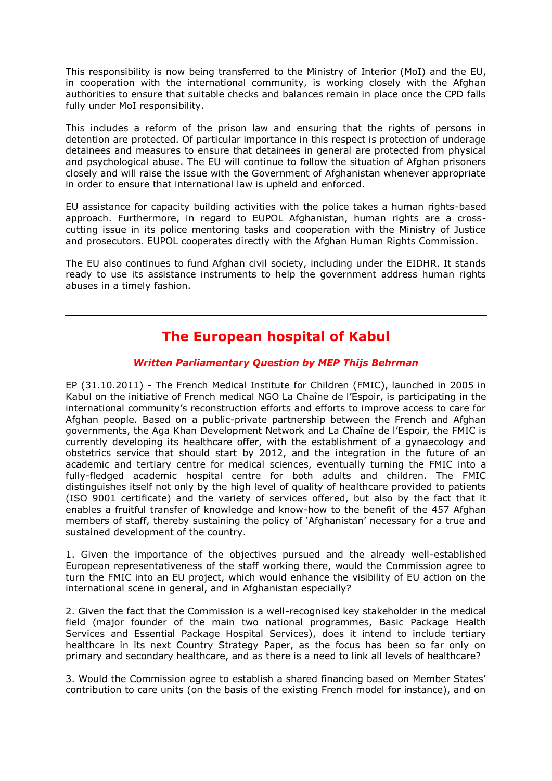This responsibility is now being transferred to the Ministry of Interior (MoI) and the EU, in cooperation with the international community, is working closely with the Afghan authorities to ensure that suitable checks and balances remain in place once the CPD falls fully under MoI responsibility.

This includes a reform of the prison law and ensuring that the rights of persons in detention are protected. Of particular importance in this respect is protection of underage detainees and measures to ensure that detainees in general are protected from physical and psychological abuse. The EU will continue to follow the situation of Afghan prisoners closely and will raise the issue with the Government of Afghanistan whenever appropriate in order to ensure that international law is upheld and enforced.

EU assistance for capacity building activities with the police takes a human rights-based approach. Furthermore, in regard to EUPOL Afghanistan, human rights are a crosscutting issue in its police mentoring tasks and cooperation with the Ministry of Justice and prosecutors. EUPOL cooperates directly with the Afghan Human Rights Commission.

<span id="page-15-0"></span>The EU also continues to fund Afghan civil society, including under the EIDHR. It stands ready to use its assistance instruments to help the government address human rights abuses in a timely fashion.

# **The European hospital of Kabul**

### *Written Parliamentary Question by MEP Thijs Behrman*

EP (31.10.2011) - The French Medical Institute for Children (FMIC), launched in 2005 in Kabul on the initiative of French medical NGO La Chaîne de l'Espoir, is participating in the international community's reconstruction efforts and efforts to improve access to care for Afghan people. Based on a public-private partnership between the French and Afghan governments, the Aga Khan Development Network and La Chaîne de l'Espoir, the FMIC is currently developing its healthcare offer, with the establishment of a gynaecology and obstetrics service that should start by 2012, and the integration in the future of an academic and tertiary centre for medical sciences, eventually turning the FMIC into a fully-fledged academic hospital centre for both adults and children. The FMIC distinguishes itself not only by the high level of quality of healthcare provided to patients (ISO 9001 certificate) and the variety of services offered, but also by the fact that it enables a fruitful transfer of knowledge and know-how to the benefit of the 457 Afghan members of staff, thereby sustaining the policy of 'Afghanistan' necessary for a true and sustained development of the country.

1. Given the importance of the objectives pursued and the already well-established European representativeness of the staff working there, would the Commission agree to turn the FMIC into an EU project, which would enhance the visibility of EU action on the international scene in general, and in Afghanistan especially?

2. Given the fact that the Commission is a well-recognised key stakeholder in the medical field (major founder of the main two national programmes, Basic Package Health Services and Essential Package Hospital Services), does it intend to include tertiary healthcare in its next Country Strategy Paper, as the focus has been so far only on primary and secondary healthcare, and as there is a need to link all levels of healthcare?

3. Would the Commission agree to establish a shared financing based on Member States' contribution to care units (on the basis of the existing French model for instance), and on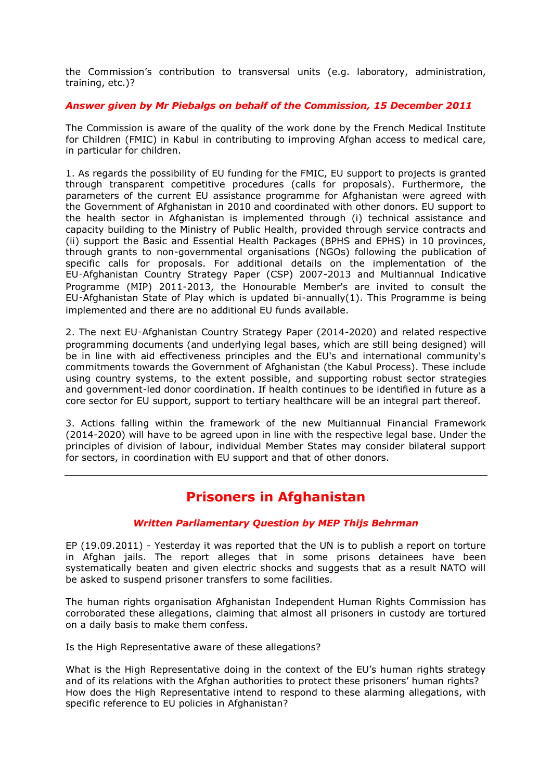the Commission's contribution to transversal units (e.g. laboratory, administration, training, etc.)?

### *Answer given by Mr Piebalgs on behalf of the Commission, 15 December 2011*

The Commission is aware of the quality of the work done by the French Medical Institute for Children (FMIC) in Kabul in contributing to improving Afghan access to medical care, in particular for children.

1. As regards the possibility of EU funding for the FMIC, EU support to projects is granted through transparent competitive procedures (calls for proposals). Furthermore, the parameters of the current EU assistance programme for Afghanistan were agreed with the Government of Afghanistan in 2010 and coordinated with other donors. EU support to the health sector in Afghanistan is implemented through (i) technical assistance and capacity building to the Ministry of Public Health, provided through service contracts and (ii) support the Basic and Essential Health Packages (BPHS and EPHS) in 10 provinces, through grants to non-governmental organisations (NGOs) following the publication of specific calls for proposals. For additional details on the implementation of the EU‑Afghanistan Country Strategy Paper (CSP) 2007-2013 and Multiannual Indicative Programme (MIP) 2011-2013, the Honourable Member's are invited to consult the EU-Afghanistan State of Play which is updated bi-annually $(1)$ . This Programme is being implemented and there are no additional EU funds available.

2. The next EU‑Afghanistan Country Strategy Paper (2014-2020) and related respective programming documents (and underlying legal bases, which are still being designed) will be in line with aid effectiveness principles and the EU's and international community's commitments towards the Government of Afghanistan (the Kabul Process). These include using country systems, to the extent possible, and supporting robust sector strategies and government-led donor coordination. If health continues to be identified in future as a core sector for EU support, support to tertiary healthcare will be an integral part thereof.

<span id="page-16-0"></span>3. Actions falling within the framework of the new Multiannual Financial Framework (2014-2020) will have to be agreed upon in line with the respective legal base. Under the principles of division of labour, individual Member States may consider bilateral support for sectors, in coordination with EU support and that of other donors.

# **Prisoners in Afghanistan**

### *Written Parliamentary Question by MEP Thijs Behrman*

EP (19.09.2011) - Yesterday it was reported that the UN is to publish a report on torture in Afghan jails. The report alleges that in some prisons detainees have been systematically beaten and given electric shocks and suggests that as a result NATO will be asked to suspend prisoner transfers to some facilities.

The human rights organisation Afghanistan Independent Human Rights Commission has corroborated these allegations, claiming that almost all prisoners in custody are tortured on a daily basis to make them confess.

Is the High Representative aware of these allegations?

What is the High Representative doing in the context of the EU's human rights strategy and of its relations with the Afghan authorities to protect these prisoners' human rights? How does the High Representative intend to respond to these alarming allegations, with specific reference to EU policies in Afghanistan?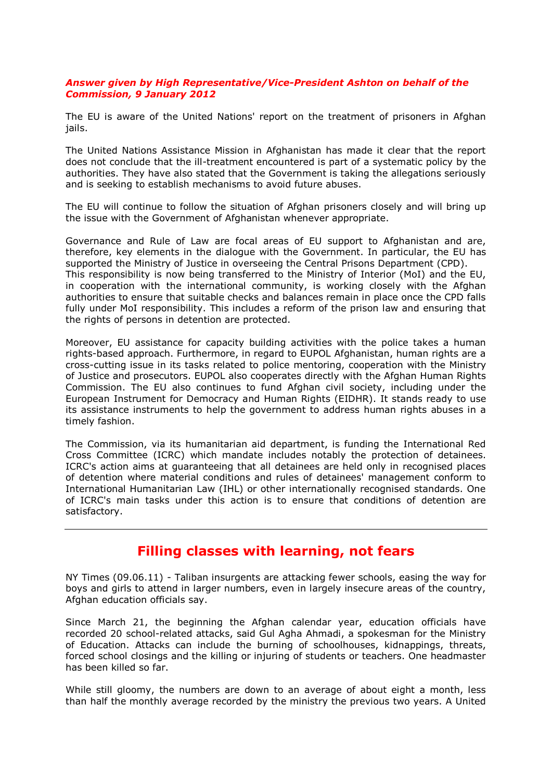### *Answer given by High Representative/Vice-President Ashton on behalf of the Commission, 9 January 2012*

The EU is aware of the United Nations' report on the treatment of prisoners in Afghan jails.

The United Nations Assistance Mission in Afghanistan has made it clear that the report does not conclude that the ill-treatment encountered is part of a systematic policy by the authorities. They have also stated that the Government is taking the allegations seriously and is seeking to establish mechanisms to avoid future abuses.

The EU will continue to follow the situation of Afghan prisoners closely and will bring up the issue with the Government of Afghanistan whenever appropriate.

Governance and Rule of Law are focal areas of EU support to Afghanistan and are, therefore, key elements in the dialogue with the Government. In particular, the EU has supported the Ministry of Justice in overseeing the Central Prisons Department (CPD). This responsibility is now being transferred to the Ministry of Interior (MoI) and the EU, in cooperation with the international community, is working closely with the Afghan authorities to ensure that suitable checks and balances remain in place once the CPD falls fully under MoI responsibility. This includes a reform of the prison law and ensuring that the rights of persons in detention are protected.

Moreover, EU assistance for capacity building activities with the police takes a human rights-based approach. Furthermore, in regard to EUPOL Afghanistan, human rights are a cross-cutting issue in its tasks related to police mentoring, cooperation with the Ministry of Justice and prosecutors. EUPOL also cooperates directly with the Afghan Human Rights Commission. The EU also continues to fund Afghan civil society, including under the European Instrument for Democracy and Human Rights (EIDHR). It stands ready to use its assistance instruments to help the government to address human rights abuses in a timely fashion.

The Commission, via its humanitarian aid department, is funding the International Red Cross Committee (ICRC) which mandate includes notably the protection of detainees. ICRC's action aims at guaranteeing that all detainees are held only in recognised places of detention where material conditions and rules of detainees' management conform to International Humanitarian Law (IHL) or other internationally recognised standards. One of ICRC's main tasks under this action is to ensure that conditions of detention are satisfactory.

### **Filling classes with learning, not fears**

<span id="page-17-0"></span>NY Times (09.06.11) - Taliban insurgents are attacking fewer schools, easing the way for boys and girls to attend in larger numbers, even in largely insecure areas of the country, Afghan education officials say.

Since March 21, the beginning the Afghan calendar year, education officials have recorded 20 school-related attacks, said Gul Agha Ahmadi, a spokesman for the Ministry of Education. Attacks can include the burning of schoolhouses, kidnappings, threats, forced school closings and the killing or injuring of students or teachers. One headmaster has been killed so far.

While still gloomy, the numbers are down to an average of about eight a month, less than half the monthly average recorded by the ministry the previous two years. A United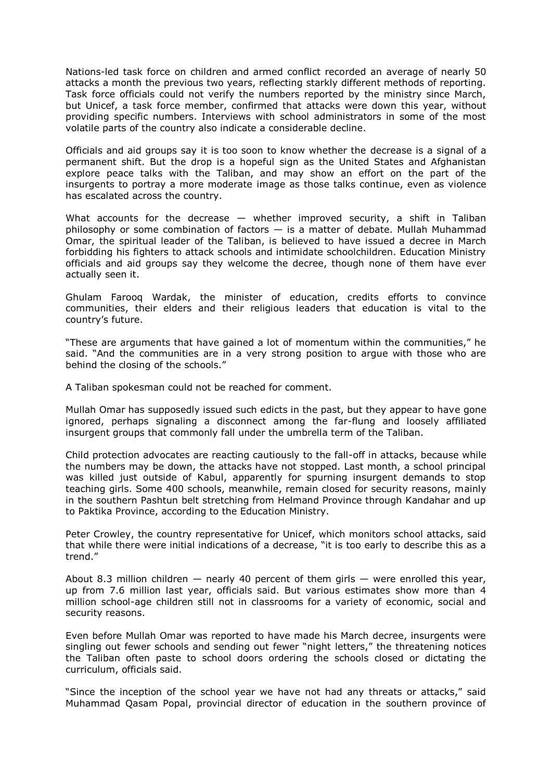Nations-led task force on children and armed conflict recorded an average of nearly 50 attacks a month the previous two years, reflecting starkly different methods of reporting. Task force officials could not verify the numbers reported by the ministry since March, but Unicef, a task force member, confirmed that attacks were down this year, without providing specific numbers. Interviews with school administrators in some of the most volatile parts of the country also indicate a considerable decline.

Officials and aid groups say it is too soon to know whether the decrease is a signal of a permanent shift. But the drop is a hopeful sign as the United States and Afghanistan explore peace talks with the Taliban, and may show an effort on the part of the insurgents to portray a more moderate image as those talks continue, even as violence has escalated across the country.

What accounts for the decrease  $-$  whether improved security, a shift in Taliban philosophy or some combination of factors  $-$  is a matter of debate. Mullah Muhammad Omar, the spiritual leader of the Taliban, is believed to have issued a decree in March forbidding his fighters to attack schools and intimidate schoolchildren. Education Ministry officials and aid groups say they welcome the decree, though none of them have ever actually seen it.

Ghulam Farooq Wardak, the minister of education, credits efforts to convince communities, their elders and their religious leaders that education is vital to the country's future.

"These are arguments that have gained a lot of momentum within the communities," he said. "And the communities are in a very strong position to argue with those who are behind the closing of the schools."

A Taliban spokesman could not be reached for comment.

Mullah Omar has supposedly issued such edicts in the past, but they appear to have gone ignored, perhaps signaling a disconnect among the far-flung and loosely affiliated insurgent groups that commonly fall under the umbrella term of the Taliban.

Child protection advocates are reacting cautiously to the fall-off in attacks, because while the numbers may be down, the attacks have not stopped. Last month, a school principal was killed just outside of Kabul, apparently for spurning insurgent demands to stop teaching girls. Some 400 schools, meanwhile, remain closed for security reasons, mainly in the southern Pashtun belt stretching from Helmand Province through Kandahar and up to Paktika Province, according to the Education Ministry.

Peter Crowley, the country representative for Unicef, which monitors school attacks, said that while there were initial indications of a decrease, "it is too early to describe this as a trend."

About 8.3 million children  $-$  nearly 40 percent of them girls  $-$  were enrolled this year, up from 7.6 million last year, officials said. But various estimates show more than 4 million school-age children still not in classrooms for a variety of economic, social and security reasons.

Even before Mullah Omar was reported to have made his March decree, insurgents were singling out fewer schools and sending out fewer "night letters," the threatening notices the Taliban often paste to school doors ordering the schools closed or dictating the curriculum, officials said.

"Since the inception of the school year we have not had any threats or attacks," said Muhammad Qasam Popal, provincial director of education in the southern province of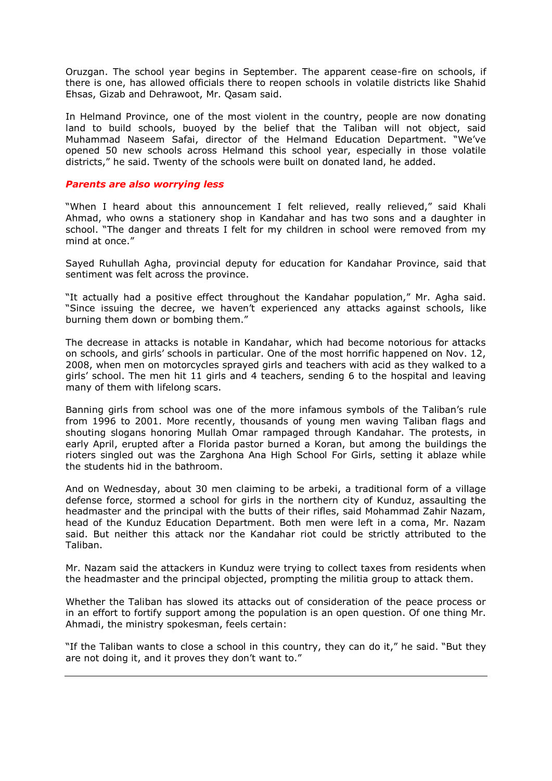Oruzgan. The school year begins in September. The apparent cease-fire on schools, if there is one, has allowed officials there to reopen schools in volatile districts like Shahid Ehsas, Gizab and Dehrawoot, Mr. Qasam said.

In Helmand Province, one of the most violent in the country, people are now donating land to build schools, buoyed by the belief that the Taliban will not object, said Muhammad Naseem Safai, director of the Helmand Education Department. "We've opened 50 new schools across Helmand this school year, especially in those volatile districts," he said. Twenty of the schools were built on donated land, he added.

#### *Parents are also worrying less*

"When I heard about this announcement I felt relieved, really relieved," said Khali Ahmad, who owns a stationery shop in Kandahar and has two sons and a daughter in school. "The danger and threats I felt for my children in school were removed from my mind at once."

Sayed Ruhullah Agha, provincial deputy for education for Kandahar Province, said that sentiment was felt across the province.

"It actually had a positive effect throughout the Kandahar population," Mr. Agha said. "Since issuing the decree, we haven't experienced any attacks against schools, like burning them down or bombing them."

The decrease in attacks is notable in Kandahar, which had become notorious for attacks on schools, and girls' schools in particular. One of the most horrific happened on Nov. 12, 2008, when men on motorcycles sprayed girls and teachers with acid as they walked to a girls' school. The men hit 11 girls and 4 teachers, sending 6 to the hospital and leaving many of them with lifelong scars.

Banning girls from school was one of the more infamous symbols of the Taliban's rule from 1996 to 2001. More recently, thousands of young men waving Taliban flags and shouting slogans honoring Mullah Omar rampaged through Kandahar. The protests, in early April, erupted after a Florida pastor burned a Koran, but among the buildings the rioters singled out was the Zarghona Ana High School For Girls, setting it ablaze while the students hid in the bathroom.

And on Wednesday, about 30 men claiming to be arbeki, a traditional form of a village defense force, stormed a school for girls in the northern city of Kunduz, assaulting the headmaster and the principal with the butts of their rifles, said Mohammad Zahir Nazam, head of the Kunduz Education Department. Both men were left in a coma, Mr. Nazam said. But neither this attack nor the Kandahar riot could be strictly attributed to the Taliban.

Mr. Nazam said the attackers in Kunduz were trying to collect taxes from residents when the headmaster and the principal objected, prompting the militia group to attack them.

Whether the Taliban has slowed its attacks out of consideration of the peace process or in an effort to fortify support among the population is an open question. Of one thing Mr. Ahmadi, the ministry spokesman, feels certain:

"If the Taliban wants to close a school in this country, they can do it," he said. "But they are not doing it, and it proves they don't want to."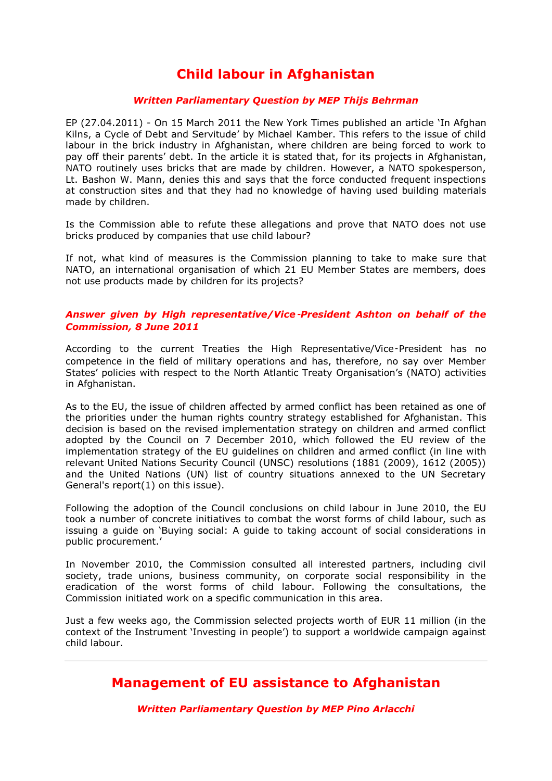# **Child labour in Afghanistan**

### *Written Parliamentary Question by MEP Thijs Behrman*

<span id="page-20-0"></span>EP (27.04.2011) - On 15 March 2011 the New York Times published an article 'In Afghan Kilns, a Cycle of Debt and Servitude' by Michael Kamber. This refers to the issue of child labour in the brick industry in Afghanistan, where children are being forced to work to pay off their parents' debt. In the article it is stated that, for its projects in Afghanistan, NATO routinely uses bricks that are made by children. However, a NATO spokesperson, Lt. Bashon W. Mann, denies this and says that the force conducted frequent inspections at construction sites and that they had no knowledge of having used building materials made by children.

Is the Commission able to refute these allegations and prove that NATO does not use bricks produced by companies that use child labour?

If not, what kind of measures is the Commission planning to take to make sure that NATO, an international organisation of which 21 EU Member States are members, does not use products made by children for its projects?

### *Answer given by High representative/Vice*‑*President Ashton on behalf of the Commission, 8 June 2011*

According to the current Treaties the High Representative/Vice-President has no competence in the field of military operations and has, therefore, no say over Member States' policies with respect to the North Atlantic Treaty Organisation's (NATO) activities in Afghanistan.

As to the EU, the issue of children affected by armed conflict has been retained as one of the priorities under the human rights country strategy established for Afghanistan. This decision is based on the revised implementation strategy on children and armed conflict adopted by the Council on 7 December 2010, which followed the EU review of the implementation strategy of the EU guidelines on children and armed conflict (in line with relevant United Nations Security Council (UNSC) resolutions (1881 (2009), 1612 (2005)) and the United Nations (UN) list of country situations annexed to the UN Secretary General's report(1) on this issue).

Following the adoption of the Council conclusions on child labour in June 2010, the EU took a number of concrete initiatives to combat the worst forms of child labour, such as issuing a guide on 'Buying social: A guide to taking account of social considerations in public procurement.'

In November 2010, the Commission consulted all interested partners, including civil society, trade unions, business community, on corporate social responsibility in the eradication of the worst forms of child labour. Following the consultations, the Commission initiated work on a specific communication in this area.

<span id="page-20-1"></span>Just a few weeks ago, the Commission selected projects worth of EUR 11 million (in the context of the Instrument 'Investing in people') to support a worldwide campaign against child labour.

## **Management of EU assistance to Afghanistan**

*Written Parliamentary Question by MEP Pino Arlacchi*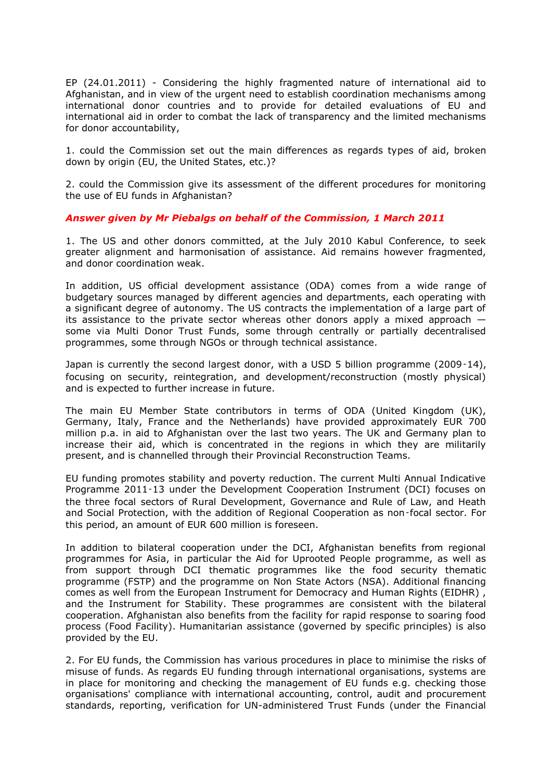EP (24.01.2011) - Considering the highly fragmented nature of international aid to Afghanistan, and in view of the urgent need to establish coordination mechanisms among international donor countries and to provide for detailed evaluations of EU and international aid in order to combat the lack of transparency and the limited mechanisms for donor accountability,

1. could the Commission set out the main differences as regards types of aid, broken down by origin (EU, the United States, etc.)?

2. could the Commission give its assessment of the different procedures for monitoring the use of EU funds in Afghanistan?

### *Answer given by Mr Piebalgs on behalf of the Commission, 1 March 2011*

1. The US and other donors committed, at the July 2010 Kabul Conference, to seek greater alignment and harmonisation of assistance. Aid remains however fragmented, and donor coordination weak.

In addition, US official development assistance (ODA) comes from a wide range of budgetary sources managed by different agencies and departments, each operating with a significant degree of autonomy. The US contracts the implementation of a large part of its assistance to the private sector whereas other donors apply a mixed approach  $$ some via Multi Donor Trust Funds, some through centrally or partially decentralised programmes, some through NGOs or through technical assistance.

Japan is currently the second largest donor, with a USD 5 billion programme (2009-14), focusing on security, reintegration, and development/reconstruction (mostly physical) and is expected to further increase in future.

The main EU Member State contributors in terms of ODA (United Kingdom (UK), Germany, Italy, France and the Netherlands) have provided approximately EUR 700 million p.a. in aid to Afghanistan over the last two years. The UK and Germany plan to increase their aid, which is concentrated in the regions in which they are militarily present, and is channelled through their Provincial Reconstruction Teams.

EU funding promotes stability and poverty reduction. The current Multi Annual Indicative Programme 2011‑13 under the Development Cooperation Instrument (DCI) focuses on the three focal sectors of Rural Development, Governance and Rule of Law, and Heath and Social Protection, with the addition of Regional Cooperation as non‑focal sector. For this period, an amount of EUR 600 million is foreseen.

In addition to bilateral cooperation under the DCI, Afghanistan benefits from regional programmes for Asia, in particular the Aid for Uprooted People programme, as well as from support through DCI thematic programmes like the food security thematic programme (FSTP) and the programme on Non State Actors (NSA). Additional financing comes as well from the European Instrument for Democracy and Human Rights (EIDHR) , and the Instrument for Stability. These programmes are consistent with the bilateral cooperation. Afghanistan also benefits from the facility for rapid response to soaring food process (Food Facility). Humanitarian assistance (governed by specific principles) is also provided by the EU.

2. For EU funds, the Commission has various procedures in place to minimise the risks of misuse of funds. As regards EU funding through international organisations, systems are in place for monitoring and checking the management of EU funds e.g. checking those organisations' compliance with international accounting, control, audit and procurement standards, reporting, verification for UN-administered Trust Funds (under the Financial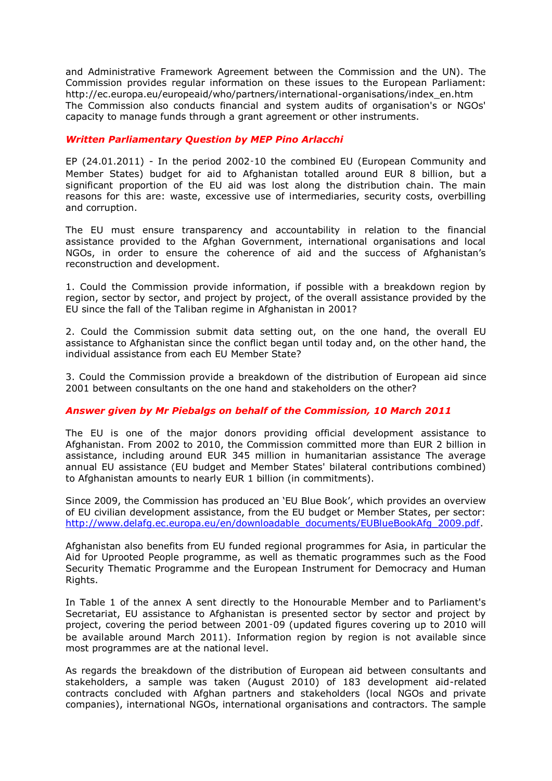and Administrative Framework Agreement between the Commission and the UN). The Commission provides regular information on these issues to the European Parliament: http://ec.europa.eu/europeaid/who/partners/international-organisations/index\_en.htm The Commission also conducts financial and system audits of organisation's or NGOs' capacity to manage funds through a grant agreement or other instruments.

### *Written Parliamentary Question by MEP Pino Arlacchi*

EP (24.01.2011) - In the period 2002‑10 the combined EU (European Community and Member States) budget for aid to Afghanistan totalled around EUR 8 billion, but a significant proportion of the EU aid was lost along the distribution chain. The main reasons for this are: waste, excessive use of intermediaries, security costs, overbilling and corruption.

The EU must ensure transparency and accountability in relation to the financial assistance provided to the Afghan Government, international organisations and local NGOs, in order to ensure the coherence of aid and the success of Afghanistan's reconstruction and development.

1. Could the Commission provide information, if possible with a breakdown region by region, sector by sector, and project by project, of the overall assistance provided by the EU since the fall of the Taliban regime in Afghanistan in 2001?

2. Could the Commission submit data setting out, on the one hand, the overall EU assistance to Afghanistan since the conflict began until today and, on the other hand, the individual assistance from each EU Member State?

3. Could the Commission provide a breakdown of the distribution of European aid since 2001 between consultants on the one hand and stakeholders on the other?

### *Answer given by Mr Piebalgs on behalf of the Commission, 10 March 2011*

The EU is one of the major donors providing official development assistance to Afghanistan. From 2002 to 2010, the Commission committed more than EUR 2 billion in assistance, including around EUR 345 million in humanitarian assistance The average annual EU assistance (EU budget and Member States' bilateral contributions combined) to Afghanistan amounts to nearly EUR 1 billion (in commitments).

Since 2009, the Commission has produced an 'EU Blue Book', which provides an overview of EU civilian development assistance, from the EU budget or Member States, per sector: [http://www.delafg.ec.europa.eu/en/downloadable\\_documents/EUBlueBookAfg\\_2009.pdf.](http://www.delafg.ec.europa.eu/en/downloadable_documents/EUBlueBookAfg_2009.pdf)

Afghanistan also benefits from EU funded regional programmes for Asia, in particular the Aid for Uprooted People programme, as well as thematic programmes such as the Food Security Thematic Programme and the European Instrument for Democracy and Human Rights.

In Table 1 of the annex A sent directly to the Honourable Member and to Parliament's Secretariat, EU assistance to Afghanistan is presented sector by sector and project by project, covering the period between 2001‑09 (updated figures covering up to 2010 will be available around March 2011). Information region by region is not available since most programmes are at the national level.

As regards the breakdown of the distribution of European aid between consultants and stakeholders, a sample was taken (August 2010) of 183 development aid-related contracts concluded with Afghan partners and stakeholders (local NGOs and private companies), international NGOs, international organisations and contractors. The sample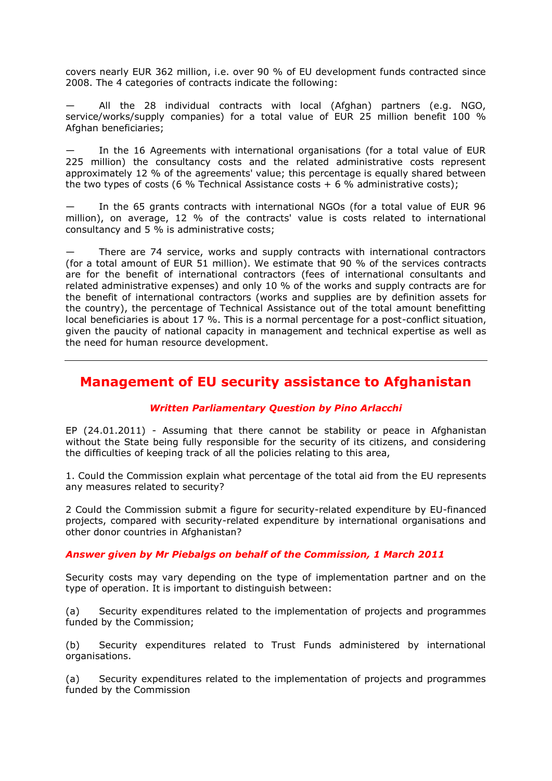covers nearly EUR 362 million, i.e. over 90 % of EU development funds contracted since 2008. The 4 categories of contracts indicate the following:

All the 28 individual contracts with local (Afghan) partners (e.g. NGO, service/works/supply companies) for a total value of EUR 25 million benefit 100 % Afghan beneficiaries;

In the 16 Agreements with international organisations (for a total value of EUR 225 million) the consultancy costs and the related administrative costs represent approximately 12 % of the agreements' value; this percentage is equally shared between the two types of costs (6 % Technical Assistance costs  $+$  6 % administrative costs);

In the 65 grants contracts with international NGOs (for a total value of EUR 96 million), on average, 12 % of the contracts' value is costs related to international consultancy and 5 % is administrative costs;

— There are 74 service, works and supply contracts with international contractors (for a total amount of EUR 51 million). We estimate that 90 % of the services contracts are for the benefit of international contractors (fees of international consultants and related administrative expenses) and only 10 % of the works and supply contracts are for the benefit of international contractors (works and supplies are by definition assets for the country), the percentage of Technical Assistance out of the total amount benefitting local beneficiaries is about 17 %. This is a normal percentage for a post-conflict situation, given the paucity of national capacity in management and technical expertise as well as the need for human resource development.

### <span id="page-23-0"></span>**Management of EU security assistance to Afghanistan**

### *Written Parliamentary Question by Pino Arlacchi*

EP (24.01.2011) - Assuming that there cannot be stability or peace in Afghanistan without the State being fully responsible for the security of its citizens, and considering the difficulties of keeping track of all the policies relating to this area,

1. Could the Commission explain what percentage of the total aid from the EU represents any measures related to security?

2 Could the Commission submit a figure for security-related expenditure by EU-financed projects, compared with security-related expenditure by international organisations and other donor countries in Afghanistan?

### *Answer given by Mr Piebalgs on behalf of the Commission, 1 March 2011*

Security costs may vary depending on the type of implementation partner and on the type of operation. It is important to distinguish between:

(a) Security expenditures related to the implementation of projects and programmes funded by the Commission;

(b) Security expenditures related to Trust Funds administered by international organisations.

(a) Security expenditures related to the implementation of projects and programmes funded by the Commission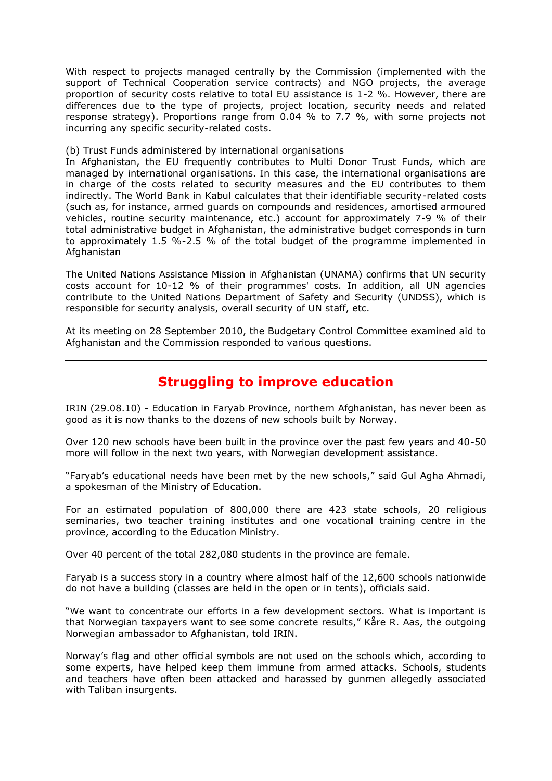With respect to projects managed centrally by the Commission (implemented with the support of Technical Cooperation service contracts) and NGO projects, the average proportion of security costs relative to total EU assistance is 1-2 %. However, there are differences due to the type of projects, project location, security needs and related response strategy). Proportions range from 0.04 % to 7.7 %, with some projects not incurring any specific security-related costs.

(b) Trust Funds administered by international organisations

In Afghanistan, the EU frequently contributes to Multi Donor Trust Funds, which are managed by international organisations. In this case, the international organisations are in charge of the costs related to security measures and the EU contributes to them indirectly. The World Bank in Kabul calculates that their identifiable security-related costs (such as, for instance, armed guards on compounds and residences, amortised armoured vehicles, routine security maintenance, etc.) account for approximately 7-9 % of their total administrative budget in Afghanistan, the administrative budget corresponds in turn to approximately 1.5 %-2.5 % of the total budget of the programme implemented in Afghanistan

The United Nations Assistance Mission in Afghanistan (UNAMA) confirms that UN security costs account for 10-12 % of their programmes' costs. In addition, all UN agencies contribute to the United Nations Department of Safety and Security (UNDSS), which is responsible for security analysis, overall security of UN staff, etc.

<span id="page-24-0"></span>At its meeting on 28 September 2010, the Budgetary Control Committee examined aid to Afghanistan and the Commission responded to various questions.

## **Struggling to improve education**

IRIN (29.08.10) - Education in Faryab Province, northern Afghanistan, has never been as good as it is now thanks to the dozens of new schools built by Norway.

Over 120 new schools have been built in the province over the past few years and 40-50 more will follow in the next two years, with Norwegian development assistance.

"Faryab's educational needs have been met by the new schools," said Gul Agha Ahmadi, a spokesman of the Ministry of Education.

For an estimated population of 800,000 there are 423 state schools, 20 religious seminaries, two teacher training institutes and one vocational training centre in the province, according to the Education Ministry.

Over 40 percent of the total 282,080 students in the province are female.

Faryab is a success story in a country where almost half of the 12,600 schools nationwide do not have a building (classes are held in the open or in tents), officials said.

"We want to concentrate our efforts in a few development sectors. What is important is that Norwegian taxpayers want to see some concrete results," Kåre R. Aas, the outgoing Norwegian ambassador to Afghanistan, told IRIN.

Norway's flag and other official symbols are not used on the schools which, according to some experts, have helped keep them immune from armed attacks. Schools, students and teachers have often been attacked and harassed by gunmen allegedly associated with Taliban insurgents.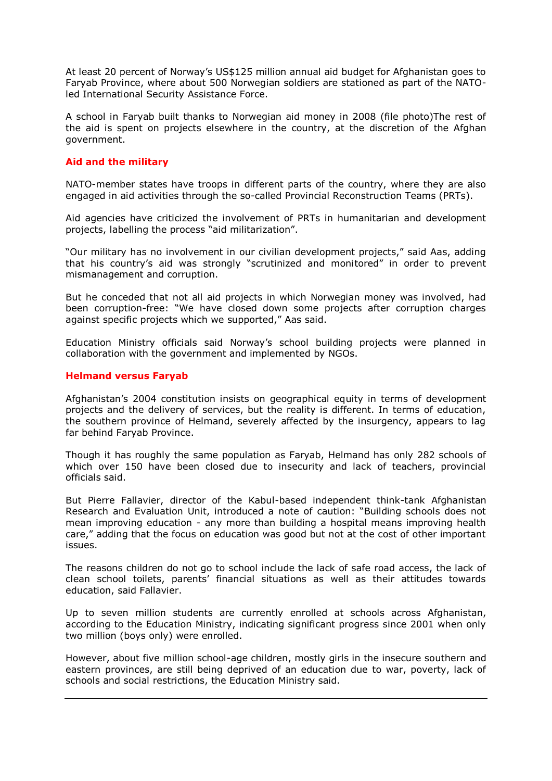At least 20 percent of Norway's US\$125 million annual aid budget for Afghanistan goes to Faryab Province, where about 500 Norwegian soldiers are stationed as part of the NATOled International Security Assistance Force.

A school in Faryab built thanks to Norwegian aid money in 2008 (file photo)The rest of the aid is spent on projects elsewhere in the country, at the discretion of the Afghan government.

### **Aid and the military**

NATO-member states have troops in different parts of the country, where they are also engaged in aid activities through the so-called Provincial Reconstruction Teams (PRTs).

Aid agencies have criticized the involvement of PRTs in humanitarian and development projects, labelling the process "aid militarization".

"Our military has no involvement in our civilian development projects," said Aas, adding that his country's aid was strongly "scrutinized and monitored" in order to prevent mismanagement and corruption.

But he conceded that not all aid projects in which Norwegian money was involved, had been corruption-free: "We have closed down some projects after corruption charges against specific projects which we supported," Aas said.

Education Ministry officials said Norway's school building projects were planned in collaboration with the government and implemented by NGOs.

### **Helmand versus Faryab**

Afghanistan's 2004 constitution insists on geographical equity in terms of development projects and the delivery of services, but the reality is different. In terms of education, the southern province of Helmand, severely affected by the insurgency, appears to lag far behind Faryab Province.

Though it has roughly the same population as Faryab, Helmand has only 282 schools of which over 150 have been closed due to insecurity and lack of teachers, provincial officials said.

But Pierre Fallavier, director of the Kabul-based independent think-tank Afghanistan Research and Evaluation Unit, introduced a note of caution: "Building schools does not mean improving education - any more than building a hospital means improving health care," adding that the focus on education was good but not at the cost of other important issues.

The reasons children do not go to school include the lack of safe road access, the lack of clean school toilets, parents' financial situations as well as their attitudes towards education, said Fallavier.

Up to seven million students are currently enrolled at schools across Afghanistan, according to the Education Ministry, indicating significant progress since 2001 when only two million (boys only) were enrolled.

However, about five million school-age children, mostly girls in the insecure southern and eastern provinces, are still being deprived of an education due to war, poverty, lack of schools and social restrictions, the Education Ministry said.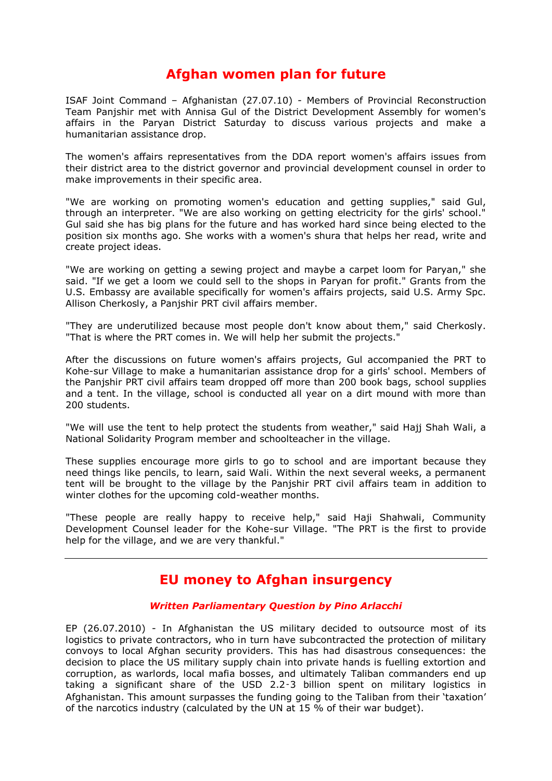## **Afghan women plan for future**

<span id="page-26-0"></span>ISAF Joint Command – Afghanistan (27.07.10) - Members of Provincial Reconstruction Team Panjshir met with Annisa Gul of the District Development Assembly for women's affairs in the Paryan District Saturday to discuss various projects and make a humanitarian assistance drop.

The women's affairs representatives from the DDA report women's affairs issues from their district area to the district governor and provincial development counsel in order to make improvements in their specific area.

"We are working on promoting women's education and getting supplies," said Gul, through an interpreter. "We are also working on getting electricity for the girls' school." Gul said she has big plans for the future and has worked hard since being elected to the position six months ago. She works with a women's shura that helps her read, write and create project ideas.

"We are working on getting a sewing project and maybe a carpet loom for Paryan," she said. "If we get a loom we could sell to the shops in Paryan for profit." Grants from the U.S. Embassy are available specifically for women's affairs projects, said U.S. Army Spc. Allison Cherkosly, a Panjshir PRT civil affairs member.

"They are underutilized because most people don't know about them," said Cherkosly. "That is where the PRT comes in. We will help her submit the projects."

After the discussions on future women's affairs projects, Gul accompanied the PRT to Kohe-sur Village to make a humanitarian assistance drop for a girls' school. Members of the Panjshir PRT civil affairs team dropped off more than 200 book bags, school supplies and a tent. In the village, school is conducted all year on a dirt mound with more than 200 students.

"We will use the tent to help protect the students from weather," said Hajj Shah Wali, a National Solidarity Program member and schoolteacher in the village.

These supplies encourage more girls to go to school and are important because they need things like pencils, to learn, said Wali. Within the next several weeks, a permanent tent will be brought to the village by the Panjshir PRT civil affairs team in addition to winter clothes for the upcoming cold-weather months.

<span id="page-26-1"></span>"These people are really happy to receive help," said Haji Shahwali, Community Development Counsel leader for the Kohe-sur Village. "The PRT is the first to provide help for the village, and we are very thankful."

## **EU money to Afghan insurgency**

### *Written Parliamentary Question by Pino Arlacchi*

EP (26.07.2010) - In Afghanistan the US military decided to outsource most of its logistics to private contractors, who in turn have subcontracted the protection of military convoys to local Afghan security providers. This has had disastrous consequences: the decision to place the US military supply chain into private hands is fuelling extortion and corruption, as warlords, local mafia bosses, and ultimately Taliban commanders end up taking a significant share of the USD 2.2‑3 billion spent on military logistics in Afghanistan. This amount surpasses the funding going to the Taliban from their 'taxation' of the narcotics industry (calculated by the UN at 15 % of their war budget).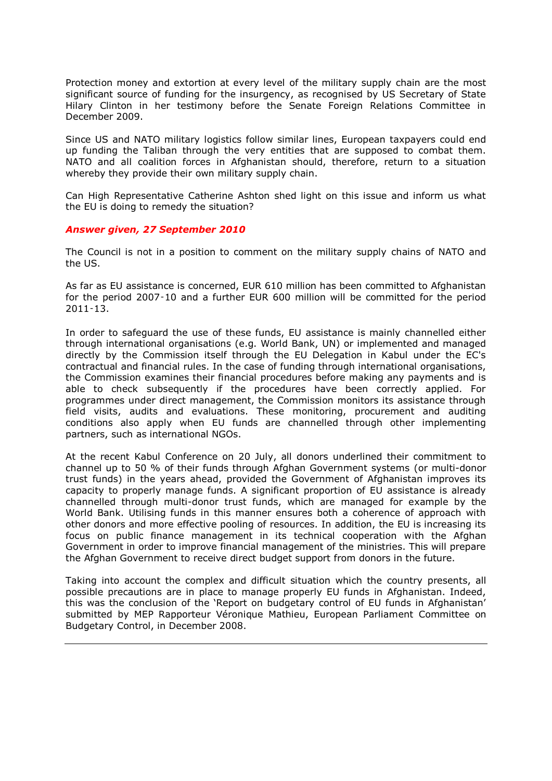Protection money and extortion at every level of the military supply chain are the most significant source of funding for the insurgency, as recognised by US Secretary of State Hilary Clinton in her testimony before the Senate Foreign Relations Committee in December 2009.

Since US and NATO military logistics follow similar lines, European taxpayers could end up funding the Taliban through the very entities that are supposed to combat them. NATO and all coalition forces in Afghanistan should, therefore, return to a situation whereby they provide their own military supply chain.

Can High Representative Catherine Ashton shed light on this issue and inform us what the EU is doing to remedy the situation?

#### *Answer given, 27 September 2010*

The Council is not in a position to comment on the military supply chains of NATO and the US.

As far as EU assistance is concerned, EUR 610 million has been committed to Afghanistan for the period 2007‑10 and a further EUR 600 million will be committed for the period 2011‑13.

In order to safeguard the use of these funds, EU assistance is mainly channelled either through international organisations (e.g. World Bank, UN) or implemented and managed directly by the Commission itself through the EU Delegation in Kabul under the EC's contractual and financial rules. In the case of funding through international organisations, the Commission examines their financial procedures before making any payments and is able to check subsequently if the procedures have been correctly applied. For programmes under direct management, the Commission monitors its assistance through field visits, audits and evaluations. These monitoring, procurement and auditing conditions also apply when EU funds are channelled through other implementing partners, such as international NGOs.

At the recent Kabul Conference on 20 July, all donors underlined their commitment to channel up to 50 % of their funds through Afghan Government systems (or multi-donor trust funds) in the years ahead, provided the Government of Afghanistan improves its capacity to properly manage funds. A significant proportion of EU assistance is already channelled through multi-donor trust funds, which are managed for example by the World Bank. Utilising funds in this manner ensures both a coherence of approach with other donors and more effective pooling of resources. In addition, the EU is increasing its focus on public finance management in its technical cooperation with the Afghan Government in order to improve financial management of the ministries. This will prepare the Afghan Government to receive direct budget support from donors in the future.

Taking into account the complex and difficult situation which the country presents, all possible precautions are in place to manage properly EU funds in Afghanistan. Indeed, this was the conclusion of the 'Report on budgetary control of EU funds in Afghanistan' submitted by MEP Rapporteur Véronique Mathieu, European Parliament Committee on Budgetary Control, in December 2008.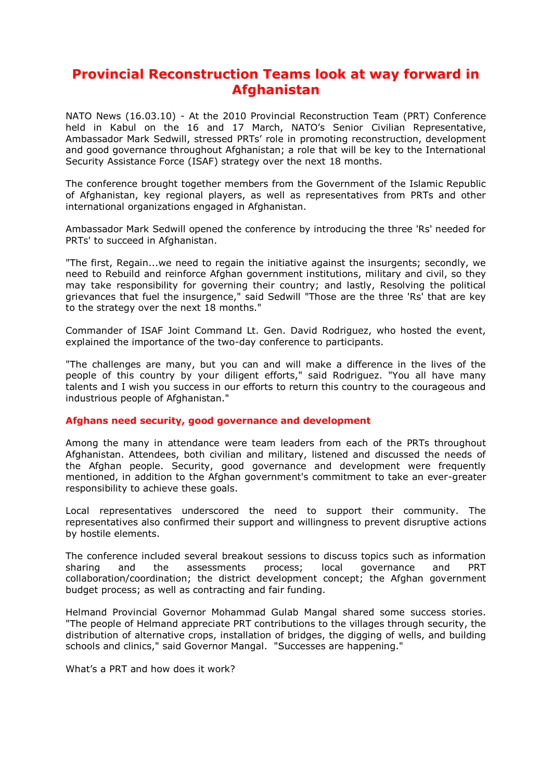## <span id="page-28-0"></span>**Provincial Reconstruction Teams look at way forward in Afghanistan**

NATO News (16.03.10) - At the 2010 Provincial Reconstruction Team (PRT) Conference held in Kabul on the 16 and 17 March, NATO's Senior Civilian Representative, Ambassador Mark Sedwill, stressed PRTs' role in promoting reconstruction, development and good governance throughout Afghanistan; a role that will be key to the International Security Assistance Force (ISAF) strategy over the next 18 months.

The conference brought together members from the Government of the Islamic Republic of Afghanistan, key regional players, as well as representatives from PRTs and other international organizations engaged in Afghanistan.

Ambassador Mark Sedwill opened the conference by introducing the three 'Rs' needed for PRTs' to succeed in Afghanistan.

"The first, Regain...we need to regain the initiative against the insurgents; secondly, we need to Rebuild and reinforce Afghan government institutions, military and civil, so they may take responsibility for governing their country; and lastly, Resolving the political grievances that fuel the insurgence," said Sedwill "Those are the three 'Rs' that are key to the strategy over the next 18 months."

Commander of ISAF Joint Command Lt. Gen. David Rodriguez, who hosted the event, explained the importance of the two-day conference to participants.

"The challenges are many, but you can and will make a difference in the lives of the people of this country by your diligent efforts," said Rodriguez. "You all have many talents and I wish you success in our efforts to return this country to the courageous and industrious people of Afghanistan."

### **Afghans need security, good governance and development**

Among the many in attendance were team leaders from each of the PRTs throughout Afghanistan. Attendees, both civilian and military, listened and discussed the needs of the Afghan people. Security, good governance and development were frequently mentioned, in addition to the Afghan government's commitment to take an ever-greater responsibility to achieve these goals.

Local representatives underscored the need to support their community. The representatives also confirmed their support and willingness to prevent disruptive actions by hostile elements.

The conference included several breakout sessions to discuss topics such as information sharing and the assessments process; local governance and PRT collaboration/coordination; the district development concept; the Afghan government budget process; as well as contracting and fair funding.

Helmand Provincial Governor Mohammad Gulab Mangal shared some success stories. "The people of Helmand appreciate PRT contributions to the villages through security, the distribution of alternative crops, installation of bridges, the digging of wells, and building schools and clinics," said Governor Mangal. "Successes are happening."

What's a PRT and how does it work?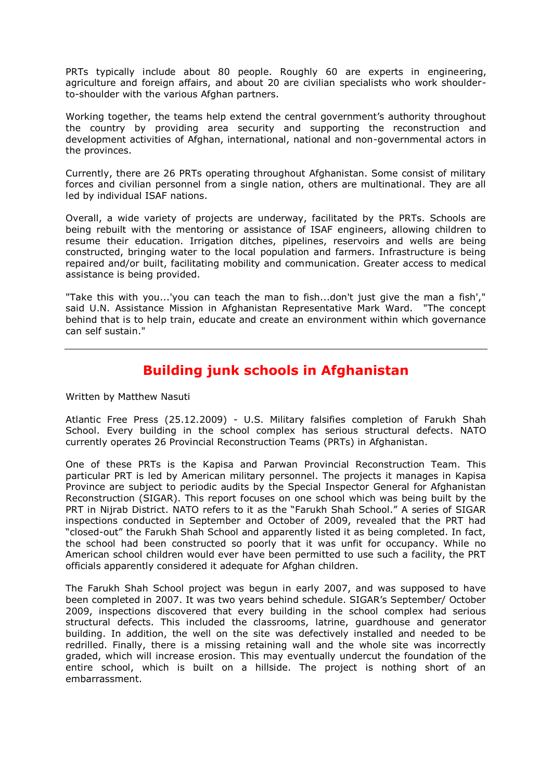PRTs typically include about 80 people. Roughly 60 are experts in engineering, agriculture and foreign affairs, and about 20 are civilian specialists who work shoulderto-shoulder with the various Afghan partners.

Working together, the teams help extend the central government's authority throughout the country by providing area security and supporting the reconstruction and development activities of Afghan, international, national and non-governmental actors in the provinces.

Currently, there are 26 PRTs operating throughout Afghanistan. Some consist of military forces and civilian personnel from a single nation, others are multinational. They are all led by individual ISAF nations.

Overall, a wide variety of projects are underway, facilitated by the PRTs. Schools are being rebuilt with the mentoring or assistance of ISAF engineers, allowing children to resume their education. Irrigation ditches, pipelines, reservoirs and wells are being constructed, bringing water to the local population and farmers. Infrastructure is being repaired and/or built, facilitating mobility and communication. Greater access to medical assistance is being provided.

"Take this with you...'you can teach the man to fish...don't just give the man a fish'," said U.N. Assistance Mission in Afghanistan Representative Mark Ward. "The concept behind that is to help train, educate and create an environment within which governance can self sustain."

## **Building junk schools in Afghanistan**

<span id="page-29-0"></span>Written by Matthew Nasuti

Atlantic Free Press (25.12.2009) - U.S. Military falsifies completion of Farukh Shah School. Every building in the school complex has serious structural defects. NATO currently operates 26 Provincial Reconstruction Teams (PRTs) in Afghanistan.

One of these PRTs is the Kapisa and Parwan Provincial Reconstruction Team. This particular PRT is led by American military personnel. The projects it manages in Kapisa Province are subject to periodic audits by the Special Inspector General for Afghanistan Reconstruction (SIGAR). This report focuses on one school which was being built by the PRT in Nijrab District. NATO refers to it as the "Farukh Shah School." A series of SIGAR inspections conducted in September and October of 2009, revealed that the PRT had "closed-out" the Farukh Shah School and apparently listed it as being completed. In fact, the school had been constructed so poorly that it was unfit for occupancy. While no American school children would ever have been permitted to use such a facility, the PRT officials apparently considered it adequate for Afghan children.

The Farukh Shah School project was begun in early 2007, and was supposed to have been completed in 2007. It was two years behind schedule. SIGAR's September/ October 2009, inspections discovered that every building in the school complex had serious structural defects. This included the classrooms, latrine, guardhouse and generator building. In addition, the well on the site was defectively installed and needed to be redrilled. Finally, there is a missing retaining wall and the whole site was incorrectly graded, which will increase erosion. This may eventually undercut the foundation of the entire school, which is built on a hillside. The project is nothing short of an embarrassment.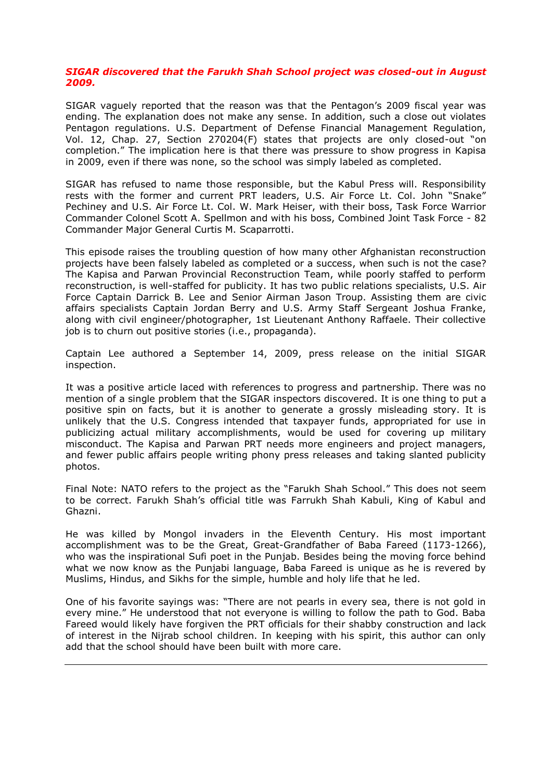### *SIGAR discovered that the Farukh Shah School project was closed-out in August 2009.*

SIGAR vaguely reported that the reason was that the Pentagon's 2009 fiscal year was ending. The explanation does not make any sense. In addition, such a close out violates Pentagon regulations. U.S. Department of Defense Financial Management Regulation, Vol. 12, Chap. 27, Section 270204(F) states that projects are only closed-out "on completion." The implication here is that there was pressure to show progress in Kapisa in 2009, even if there was none, so the school was simply labeled as completed.

SIGAR has refused to name those responsible, but the Kabul Press will. Responsibility rests with the former and current PRT leaders, U.S. Air Force Lt. Col. John "Snake" Pechiney and U.S. Air Force Lt. Col. W. Mark Heiser, with their boss, Task Force Warrior Commander Colonel Scott A. Spellmon and with his boss, Combined Joint Task Force - 82 Commander Major General Curtis M. Scaparrotti.

This episode raises the troubling question of how many other Afghanistan reconstruction projects have been falsely labeled as completed or a success, when such is not the case? The Kapisa and Parwan Provincial Reconstruction Team, while poorly staffed to perform reconstruction, is well-staffed for publicity. It has two public relations specialists, U.S. Air Force Captain Darrick B. Lee and Senior Airman Jason Troup. Assisting them are civic affairs specialists Captain Jordan Berry and U.S. Army Staff Sergeant Joshua Franke, along with civil engineer/photographer, 1st Lieutenant Anthony Raffaele. Their collective job is to churn out positive stories (i.e., propaganda).

Captain Lee authored a September 14, 2009, press release on the initial SIGAR inspection.

It was a positive article laced with references to progress and partnership. There was no mention of a single problem that the SIGAR inspectors discovered. It is one thing to put a positive spin on facts, but it is another to generate a grossly misleading story. It is unlikely that the U.S. Congress intended that taxpayer funds, appropriated for use in publicizing actual military accomplishments, would be used for covering up military misconduct. The Kapisa and Parwan PRT needs more engineers and project managers, and fewer public affairs people writing phony press releases and taking slanted publicity photos.

Final Note: NATO refers to the project as the "Farukh Shah School." This does not seem to be correct. Farukh Shah's official title was Farrukh Shah Kabuli, King of Kabul and Ghazni.

He was killed by Mongol invaders in the Eleventh Century. His most important accomplishment was to be the Great, Great-Grandfather of Baba Fareed (1173-1266), who was the inspirational Sufi poet in the Punjab. Besides being the moving force behind what we now know as the Punjabi language, Baba Fareed is unique as he is revered by Muslims, Hindus, and Sikhs for the simple, humble and holy life that he led.

One of his favorite sayings was: "There are not pearls in every sea, there is not gold in every mine." He understood that not everyone is willing to follow the path to God. Baba Fareed would likely have forgiven the PRT officials for their shabby construction and lack of interest in the Nijrab school children. In keeping with his spirit, this author can only add that the school should have been built with more care.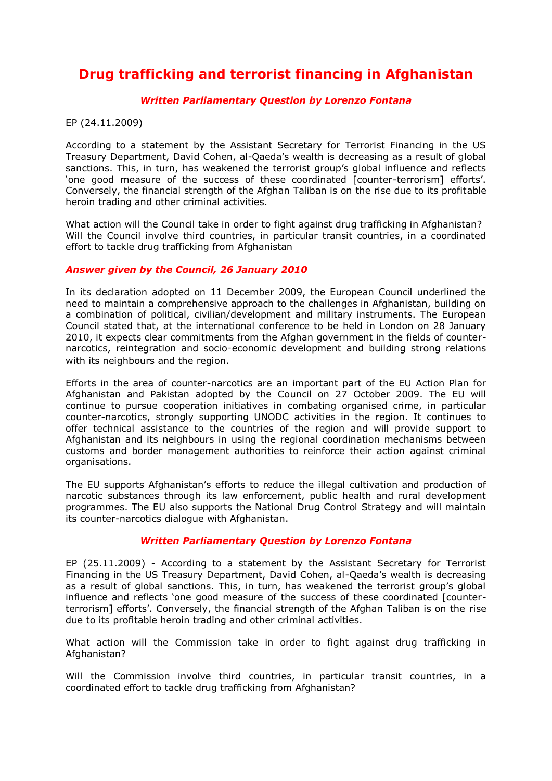# <span id="page-31-0"></span>**Drug trafficking and terrorist financing in Afghanistan**

### *Written Parliamentary Question by Lorenzo Fontana*

EP (24.11.2009)

According to a statement by the Assistant Secretary for Terrorist Financing in the US Treasury Department, David Cohen, al-Qaeda's wealth is decreasing as a result of global sanctions. This, in turn, has weakened the terrorist group's global influence and reflects 'one good measure of the success of these coordinated [counter-terrorism] efforts'. Conversely, the financial strength of the Afghan Taliban is on the rise due to its profitable heroin trading and other criminal activities.

What action will the Council take in order to fight against drug trafficking in Afghanistan? Will the Council involve third countries, in particular transit countries, in a coordinated effort to tackle drug trafficking from Afghanistan

### *Answer given by the Council, 26 January 2010*

In its declaration adopted on 11 December 2009, the European Council underlined the need to maintain a comprehensive approach to the challenges in Afghanistan, building on a combination of political, civilian/development and military instruments. The European Council stated that, at the international conference to be held in London on 28 January 2010, it expects clear commitments from the Afghan government in the fields of counternarcotics, reintegration and socio‑economic development and building strong relations with its neighbours and the region.

Efforts in the area of counter-narcotics are an important part of the EU Action Plan for Afghanistan and Pakistan adopted by the Council on 27 October 2009. The EU will continue to pursue cooperation initiatives in combating organised crime, in particular counter-narcotics, strongly supporting UNODC activities in the region. It continues to offer technical assistance to the countries of the region and will provide support to Afghanistan and its neighbours in using the regional coordination mechanisms between customs and border management authorities to reinforce their action against criminal organisations.

The EU supports Afghanistan's efforts to reduce the illegal cultivation and production of narcotic substances through its law enforcement, public health and rural development programmes. The EU also supports the National Drug Control Strategy and will maintain its counter-narcotics dialogue with Afghanistan.

### *Written Parliamentary Question by Lorenzo Fontana*

EP (25.11.2009) - According to a statement by the Assistant Secretary for Terrorist Financing in the US Treasury Department, David Cohen, al-Qaeda's wealth is decreasing as a result of global sanctions. This, in turn, has weakened the terrorist group's global influence and reflects 'one good measure of the success of these coordinated [counterterrorism] efforts'. Conversely, the financial strength of the Afghan Taliban is on the rise due to its profitable heroin trading and other criminal activities.

What action will the Commission take in order to fight against drug trafficking in Afghanistan?

Will the Commission involve third countries, in particular transit countries, in a coordinated effort to tackle drug trafficking from Afghanistan?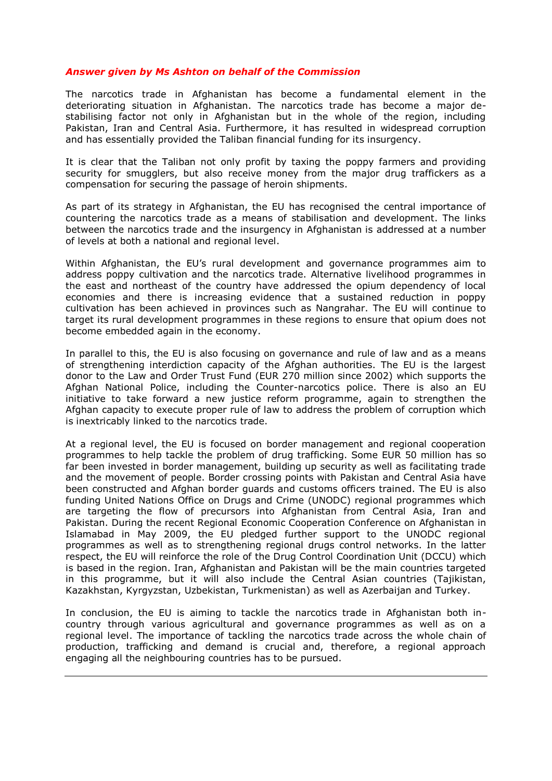#### *Answer given by Ms Ashton on behalf of the Commission*

The narcotics trade in Afghanistan has become a fundamental element in the deteriorating situation in Afghanistan. The narcotics trade has become a major destabilising factor not only in Afghanistan but in the whole of the region, including Pakistan, Iran and Central Asia. Furthermore, it has resulted in widespread corruption and has essentially provided the Taliban financial funding for its insurgency.

It is clear that the Taliban not only profit by taxing the poppy farmers and providing security for smugglers, but also receive money from the major drug traffickers as a compensation for securing the passage of heroin shipments.

As part of its strategy in Afghanistan, the EU has recognised the central importance of countering the narcotics trade as a means of stabilisation and development. The links between the narcotics trade and the insurgency in Afghanistan is addressed at a number of levels at both a national and regional level.

Within Afghanistan, the EU's rural development and governance programmes aim to address poppy cultivation and the narcotics trade. Alternative livelihood programmes in the east and northeast of the country have addressed the opium dependency of local economies and there is increasing evidence that a sustained reduction in poppy cultivation has been achieved in provinces such as Nangrahar. The EU will continue to target its rural development programmes in these regions to ensure that opium does not become embedded again in the economy.

In parallel to this, the EU is also focusing on governance and rule of law and as a means of strengthening interdiction capacity of the Afghan authorities. The EU is the largest donor to the Law and Order Trust Fund (EUR 270 million since 2002) which supports the Afghan National Police, including the Counter-narcotics police. There is also an EU initiative to take forward a new justice reform programme, again to strengthen the Afghan capacity to execute proper rule of law to address the problem of corruption which is inextricably linked to the narcotics trade.

At a regional level, the EU is focused on border management and regional cooperation programmes to help tackle the problem of drug trafficking. Some EUR 50 million has so far been invested in border management, building up security as well as facilitating trade and the movement of people. Border crossing points with Pakistan and Central Asia have been constructed and Afghan border guards and customs officers trained. The EU is also funding United Nations Office on Drugs and Crime (UNODC) regional programmes which are targeting the flow of precursors into Afghanistan from Central Asia, Iran and Pakistan. During the recent Regional Economic Cooperation Conference on Afghanistan in Islamabad in May 2009, the EU pledged further support to the UNODC regional programmes as well as to strengthening regional drugs control networks. In the latter respect, the EU will reinforce the role of the Drug Control Coordination Unit (DCCU) which is based in the region. Iran, Afghanistan and Pakistan will be the main countries targeted in this programme, but it will also include the Central Asian countries (Tajikistan, Kazakhstan, Kyrgyzstan, Uzbekistan, Turkmenistan) as well as Azerbaijan and Turkey.

In conclusion, the EU is aiming to tackle the narcotics trade in Afghanistan both incountry through various agricultural and governance programmes as well as on a regional level. The importance of tackling the narcotics trade across the whole chain of production, trafficking and demand is crucial and, therefore, a regional approach engaging all the neighbouring countries has to be pursued.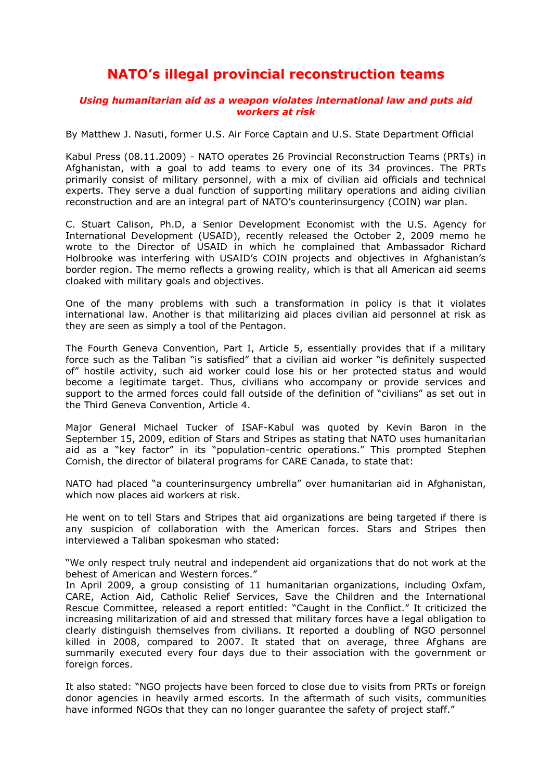# **NATO's illegal provincial reconstruction teams**

### <span id="page-33-0"></span>*Using humanitarian aid as a weapon violates international law and puts aid workers at risk*

By Matthew J. Nasuti, former U.S. Air Force Captain and U.S. State Department Official

Kabul Press (08.11.2009) - NATO operates 26 Provincial Reconstruction Teams (PRTs) in Afghanistan, with a goal to add teams to every one of its 34 provinces. The PRTs primarily consist of military personnel, with a mix of civilian aid officials and technical experts. They serve a dual function of supporting military operations and aiding civilian reconstruction and are an integral part of NATO's counterinsurgency (COIN) war plan.

C. Stuart Calison, Ph.D, a Senior Development Economist with the U.S. Agency for International Development (USAID), recently released the October 2, 2009 memo he wrote to the Director of USAID in which he complained that Ambassador Richard Holbrooke was interfering with USAID's COIN projects and objectives in Afghanistan's border region. The memo reflects a growing reality, which is that all American aid seems cloaked with military goals and objectives.

One of the many problems with such a transformation in policy is that it violates international law. Another is that militarizing aid places civilian aid personnel at risk as they are seen as simply a tool of the Pentagon.

The Fourth Geneva Convention, Part I, Article 5, essentially provides that if a military force such as the Taliban "is satisfied" that a civilian aid worker "is definitely suspected of" hostile activity, such aid worker could lose his or her protected status and would become a legitimate target. Thus, civilians who accompany or provide services and support to the armed forces could fall outside of the definition of "civilians" as set out in the Third Geneva Convention, Article 4.

Major General Michael Tucker of ISAF-Kabul was quoted by Kevin Baron in the September 15, 2009, edition of Stars and Stripes as stating that NATO uses humanitarian aid as a "key factor" in its "population-centric operations." This prompted Stephen Cornish, the director of bilateral programs for CARE Canada, to state that:

NATO had placed "a counterinsurgency umbrella" over humanitarian aid in Afghanistan, which now places aid workers at risk.

He went on to tell Stars and Stripes that aid organizations are being targeted if there is any suspicion of collaboration with the American forces. Stars and Stripes then interviewed a Taliban spokesman who stated:

"We only respect truly neutral and independent aid organizations that do not work at the behest of American and Western forces."

In April 2009, a group consisting of 11 humanitarian organizations, including Oxfam, CARE, Action Aid, Catholic Relief Services, Save the Children and the International Rescue Committee, released a report entitled: "Caught in the Conflict." It criticized the increasing militarization of aid and stressed that military forces have a legal obligation to clearly distinguish themselves from civilians. It reported a doubling of NGO personnel killed in 2008, compared to 2007. It stated that on average, three Afghans are summarily executed every four days due to their association with the government or foreign forces.

It also stated: "NGO projects have been forced to close due to visits from PRTs or foreign donor agencies in heavily armed escorts. In the aftermath of such visits, communities have informed NGOs that they can no longer guarantee the safety of project staff."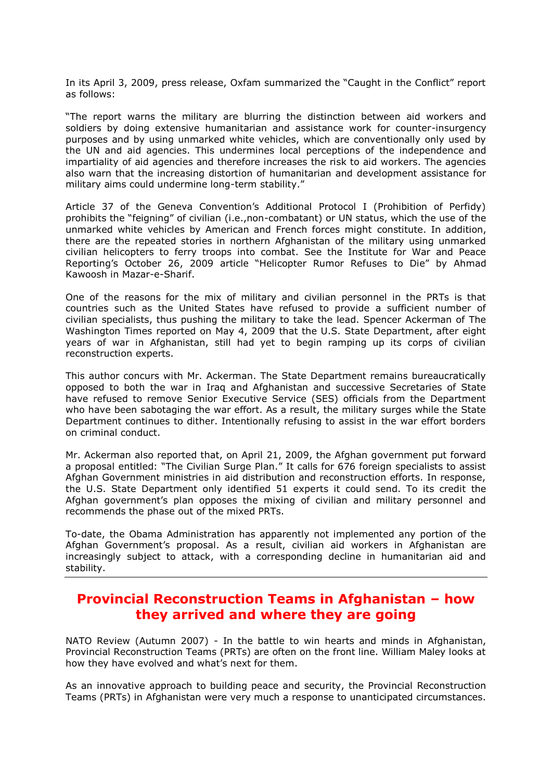In its April 3, 2009, press release, Oxfam summarized the "Caught in the Conflict" report as follows:

"The report warns the military are blurring the distinction between aid workers and soldiers by doing extensive humanitarian and assistance work for counter-insurgency purposes and by using unmarked white vehicles, which are conventionally only used by the UN and aid agencies. This undermines local perceptions of the independence and impartiality of aid agencies and therefore increases the risk to aid workers. The agencies also warn that the increasing distortion of humanitarian and development assistance for military aims could undermine long-term stability."

Article 37 of the Geneva Convention's Additional Protocol I (Prohibition of Perfidy) prohibits the "feigning" of civilian (i.e.,non-combatant) or UN status, which the use of the unmarked white vehicles by American and French forces might constitute. In addition, there are the repeated stories in northern Afghanistan of the military using unmarked civilian helicopters to ferry troops into combat. See the Institute for War and Peace Reporting's October 26, 2009 article "Helicopter Rumor Refuses to Die" by Ahmad Kawoosh in Mazar-e-Sharif.

One of the reasons for the mix of military and civilian personnel in the PRTs is that countries such as the United States have refused to provide a sufficient number of civilian specialists, thus pushing the military to take the lead. Spencer Ackerman of The Washington Times reported on May 4, 2009 that the U.S. State Department, after eight years of war in Afghanistan, still had yet to begin ramping up its corps of civilian reconstruction experts.

This author concurs with Mr. Ackerman. The State Department remains bureaucratically opposed to both the war in Iraq and Afghanistan and successive Secretaries of State have refused to remove Senior Executive Service (SES) officials from the Department who have been sabotaging the war effort. As a result, the military surges while the State Department continues to dither. Intentionally refusing to assist in the war effort borders on criminal conduct.

Mr. Ackerman also reported that, on April 21, 2009, the Afghan government put forward a proposal entitled: "The Civilian Surge Plan." It calls for 676 foreign specialists to assist Afghan Government ministries in aid distribution and reconstruction efforts. In response, the U.S. State Department only identified 51 experts it could send. To its credit the Afghan government's plan opposes the mixing of civilian and military personnel and recommends the phase out of the mixed PRTs.

To-date, the Obama Administration has apparently not implemented any portion of the Afghan Government's proposal. As a result, civilian aid workers in Afghanistan are increasingly subject to attack, with a corresponding decline in humanitarian aid and stability.

## <span id="page-34-0"></span>**Provincial Reconstruction Teams in Afghanistan – how they arrived and where they are going**

NATO Review (Autumn 2007) - In the battle to win hearts and minds in Afghanistan, Provincial Reconstruction Teams (PRTs) are often on the front line. William Maley looks at how they have evolved and what's next for them.

As an innovative approach to building peace and security, the Provincial Reconstruction Teams (PRTs) in Afghanistan were very much a response to unanticipated circumstances.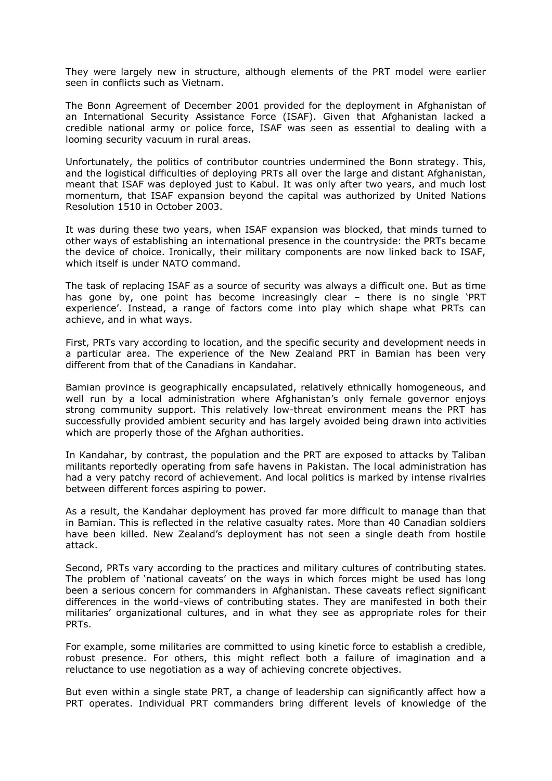They were largely new in structure, although elements of the PRT model were earlier seen in conflicts such as Vietnam.

The Bonn Agreement of December 2001 provided for the deployment in Afghanistan of an International Security Assistance Force (ISAF). Given that Afghanistan lacked a credible national army or police force, ISAF was seen as essential to dealing with a looming security vacuum in rural areas.

Unfortunately, the politics of contributor countries undermined the Bonn strategy. This, and the logistical difficulties of deploying PRTs all over the large and distant Afghanistan, meant that ISAF was deployed just to Kabul. It was only after two years, and much lost momentum, that ISAF expansion beyond the capital was authorized by United Nations Resolution 1510 in October 2003.

It was during these two years, when ISAF expansion was blocked, that minds turned to other ways of establishing an international presence in the countryside: the PRTs became the device of choice. Ironically, their military components are now linked back to ISAF, which itself is under NATO command.

The task of replacing ISAF as a source of security was always a difficult one. But as time has gone by, one point has become increasingly clear – there is no single 'PRT experience'. Instead, a range of factors come into play which shape what PRTs can achieve, and in what ways.

First, PRTs vary according to location, and the specific security and development needs in a particular area. The experience of the New Zealand PRT in Bamian has been very different from that of the Canadians in Kandahar.

Bamian province is geographically encapsulated, relatively ethnically homogeneous, and well run by a local administration where Afghanistan's only female governor enjoys strong community support. This relatively low-threat environment means the PRT has successfully provided ambient security and has largely avoided being drawn into activities which are properly those of the Afghan authorities.

In Kandahar, by contrast, the population and the PRT are exposed to attacks by Taliban militants reportedly operating from safe havens in Pakistan. The local administration has had a very patchy record of achievement. And local politics is marked by intense rivalries between different forces aspiring to power.

As a result, the Kandahar deployment has proved far more difficult to manage than that in Bamian. This is reflected in the relative casualty rates. More than 40 Canadian soldiers have been killed. New Zealand's deployment has not seen a single death from hostile attack.

Second, PRTs vary according to the practices and military cultures of contributing states. The problem of 'national caveats' on the ways in which forces might be used has long been a serious concern for commanders in Afghanistan. These caveats reflect significant differences in the world-views of contributing states. They are manifested in both their militaries' organizational cultures, and in what they see as appropriate roles for their PRTs.

For example, some militaries are committed to using kinetic force to establish a credible, robust presence. For others, this might reflect both a failure of imagination and a reluctance to use negotiation as a way of achieving concrete objectives.

But even within a single state PRT, a change of leadership can significantly affect how a PRT operates. Individual PRT commanders bring different levels of knowledge of the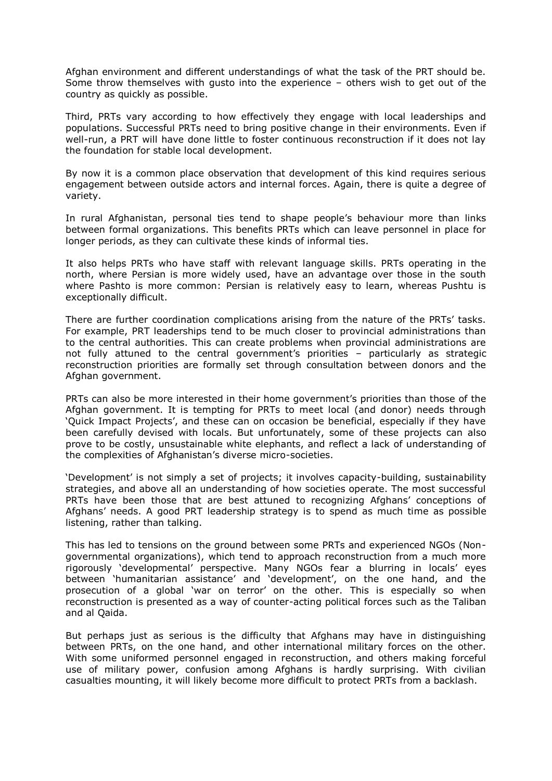Afghan environment and different understandings of what the task of the PRT should be. Some throw themselves with gusto into the experience – others wish to get out of the country as quickly as possible.

Third, PRTs vary according to how effectively they engage with local leaderships and populations. Successful PRTs need to bring positive change in their environments. Even if well-run, a PRT will have done little to foster continuous reconstruction if it does not lay the foundation for stable local development.

By now it is a common place observation that development of this kind requires serious engagement between outside actors and internal forces. Again, there is quite a degree of variety.

In rural Afghanistan, personal ties tend to shape people's behaviour more than links between formal organizations. This benefits PRTs which can leave personnel in place for longer periods, as they can cultivate these kinds of informal ties.

It also helps PRTs who have staff with relevant language skills. PRTs operating in the north, where Persian is more widely used, have an advantage over those in the south where Pashto is more common: Persian is relatively easy to learn, whereas Pushtu is exceptionally difficult.

There are further coordination complications arising from the nature of the PRTs' tasks. For example, PRT leaderships tend to be much closer to provincial administrations than to the central authorities. This can create problems when provincial administrations are not fully attuned to the central government's priorities – particularly as strategic reconstruction priorities are formally set through consultation between donors and the Afghan government.

PRTs can also be more interested in their home government's priorities than those of the Afghan government. It is tempting for PRTs to meet local (and donor) needs through 'Quick Impact Projects', and these can on occasion be beneficial, especially if they have been carefully devised with locals. But unfortunately, some of these projects can also prove to be costly, unsustainable white elephants, and reflect a lack of understanding of the complexities of Afghanistan's diverse micro-societies.

'Development' is not simply a set of projects; it involves capacity-building, sustainability strategies, and above all an understanding of how societies operate. The most successful PRTs have been those that are best attuned to recognizing Afghans' conceptions of Afghans' needs. A good PRT leadership strategy is to spend as much time as possible listening, rather than talking.

This has led to tensions on the ground between some PRTs and experienced NGOs (Nongovernmental organizations), which tend to approach reconstruction from a much more rigorously 'developmental' perspective. Many NGOs fear a blurring in locals' eyes between 'humanitarian assistance' and 'development', on the one hand, and the prosecution of a global 'war on terror' on the other. This is especially so when reconstruction is presented as a way of counter-acting political forces such as the Taliban and al Qaida.

But perhaps just as serious is the difficulty that Afghans may have in distinguishing between PRTs, on the one hand, and other international military forces on the other. With some uniformed personnel engaged in reconstruction, and others making forceful use of military power, confusion among Afghans is hardly surprising. With civilian casualties mounting, it will likely become more difficult to protect PRTs from a backlash.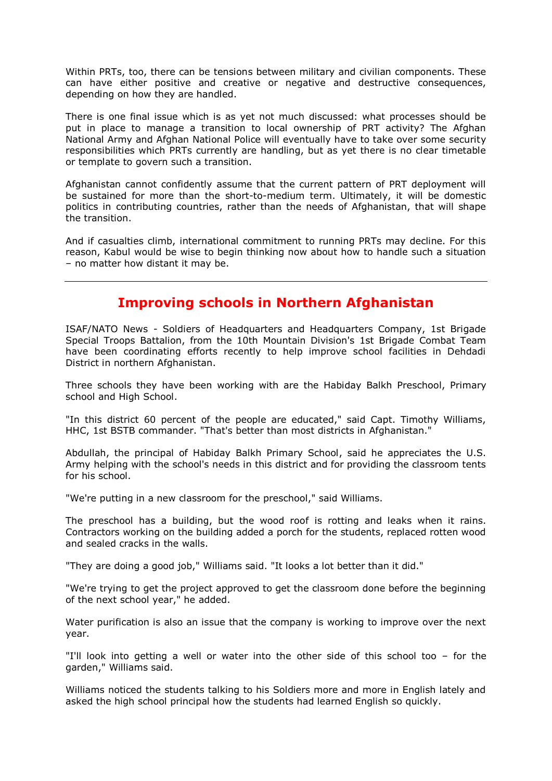Within PRTs, too, there can be tensions between military and civilian components. These can have either positive and creative or negative and destructive consequences, depending on how they are handled.

There is one final issue which is as yet not much discussed: what processes should be put in place to manage a transition to local ownership of PRT activity? The Afghan National Army and Afghan National Police will eventually have to take over some security responsibilities which PRTs currently are handling, but as yet there is no clear timetable or template to govern such a transition.

Afghanistan cannot confidently assume that the current pattern of PRT deployment will be sustained for more than the short-to-medium term. Ultimately, it will be domestic politics in contributing countries, rather than the needs of Afghanistan, that will shape the transition.

And if casualties climb, international commitment to running PRTs may decline. For this reason, Kabul would be wise to begin thinking now about how to handle such a situation – no matter how distant it may be.

# **Improving schools in Northern Afghanistan**

<span id="page-37-0"></span>ISAF/NATO News - Soldiers of Headquarters and Headquarters Company, 1st Brigade Special Troops Battalion, from the 10th Mountain Division's 1st Brigade Combat Team have been coordinating efforts recently to help improve school facilities in Dehdadi District in northern Afghanistan.

Three schools they have been working with are the Habiday Balkh Preschool, Primary school and High School.

"In this district 60 percent of the people are educated," said Capt. Timothy Williams, HHC, 1st BSTB commander. "That's better than most districts in Afghanistan."

Abdullah, the principal of Habiday Balkh Primary School, said he appreciates the U.S. Army helping with the school's needs in this district and for providing the classroom tents for his school.

"We're putting in a new classroom for the preschool," said Williams.

The preschool has a building, but the wood roof is rotting and leaks when it rains. Contractors working on the building added a porch for the students, replaced rotten wood and sealed cracks in the walls.

"They are doing a good job," Williams said. "It looks a lot better than it did."

"We're trying to get the project approved to get the classroom done before the beginning of the next school year," he added.

Water purification is also an issue that the company is working to improve over the next year.

"I'll look into getting a well or water into the other side of this school too – for the garden," Williams said.

Williams noticed the students talking to his Soldiers more and more in English lately and asked the high school principal how the students had learned English so quickly.